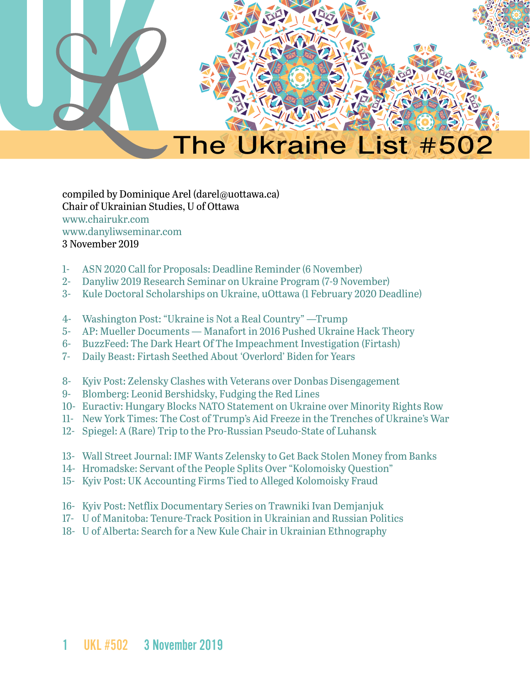

compiled by Dominique Arel (darel@uottawa.ca) Chair of Ukrainian Studies, U of Ottawa [www.chairukr.com](http://www.chairukr.com) [www.danyliwseminar.com](http://www.danyliwseminar.com) 3 November 2019

- <span id="page-0-0"></span>1- [ASN 2020 Call for Proposals: Deadline Reminder \(6 November\)](#page-1-0)
- 2- [Danyliw 2019 Research Seminar on Ukraine Program \(7-9 November\)](#page-4-0)
- 3- [Kule Doctoral Scholarships on Ukraine, uOttawa \(1 February 2020 Deadline\)](#page-8-0)
- 4- [Washington Post: "Ukraine is Not a Real Country" —Trump](#page-9-0)
- 5- [AP: Mueller Documents Manafort in 2016 Pushed Ukraine Hack Theory](#page-13-0)
- 6- [BuzzFeed: The Dark Heart Of The Impeachment Investigation \(Firtash\)](#page-15-0)
- 7- [Daily Beast: Firtash Seethed About 'Overlord' Biden for Years](#page-18-0)
- 8- Kyiv Post: Zelensky Clashes with Veterans over Donbas Disengagement
- 9- [Blomberg: Leonid Bershidsky, Fudging the Red Lines](#page-26-0)
- 10- [Euractiv: Hungary Blocks NATO Statement on Ukraine over Minority Rights Row](#page-29-0)
- 11- New York Times: The Cost of Trump's Aid Freeze in the Trenches of Ukraine's War
- 12- [Spiegel: A \(Rare\) Trip to the Pro-Russian Pseudo-State of Luhansk](#page-35-0)
- 13- [Wall Street Journal: IMF Wants Zelensky to Get Back Stolen Money from Banks](#page-41-0)
- 14- [Hromadske: Servant of the People Splits Over "Kolomoisky Question"](#page-44-0)
- 15- [Kyiv Post: UK Accounting Firms Tied to Alleged Kolomoisky Fraud](#page-46-0)
- 16- [Kyiv Post: Netflix Documentary Series on Trawniki Ivan Demjanjuk](#page-53-0)
- 17- [U of Manitoba: Tenure-Track Position in Ukrainian and Russian Politics](#page-54-0)
- 18- [U of Alberta: Search for a New Kule Chair in Ukrainian Ethnography](#page-56-0)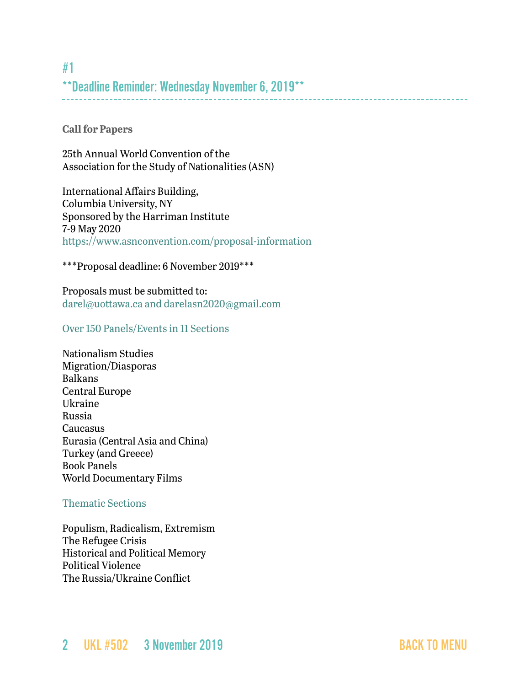### <span id="page-1-0"></span>#1

# \*\*Deadline Reminder: Wednesday November 6, 2019\*\*

#### **Call for Papers**

25th Annual World Convention of the Association for the Study of Nationalities (ASN)

International Affairs Building, Columbia University, NY Sponsored by the Harriman Institute 7-9 May 2020 <https://www.asnconvention.com/proposal-information> 

## \*\*\*Proposal deadline: 6 November 2019\*\*\*

Proposals must be submitted to: [darel@uottawa.ca](mailto:darel@uottawa.ca) and [darelasn2020@gmail.com](mailto:darelasn2020@gmail.com)

#### [Over 150 Panels/Events in 11 Sections](https://www.asnconvention.com/eleven-sections)

Nationalism Studies Migration/Diasporas Balkans Central Europe Ukraine Russia Caucasus Eurasia (Central Asia and China) Turkey (and Greece) Book Panels World Documentary Films

#### [Thematic Sections](https://www.asnconvention.com/thematic-sections)

Populism, Radicalism, Extremism The Refugee Crisis Historical and Political Memory Political Violence The Russia/Ukraine Conflict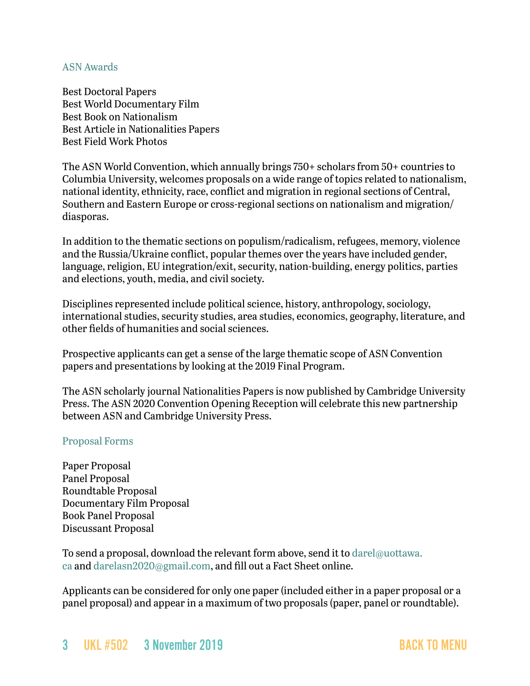#### [ASN Awards](https://www.asnconvention.com/asn-awards)

Best Doctoral Papers Best World Documentary Film Best Book on Nationalism Best Article in Nationalities Papers Best Field Work Photos

The ASN World Convention, which annually brings 750+ scholars from 50+ countries to Columbia University, welcomes proposals on a wide range of topics related to nationalism, national identity, ethnicity, race, conflict and migration in regional sections of Central, Southern and Eastern Europe or cross-regional sections on nationalism and migration/ diasporas.

In addition to the thematic sections on populism/radicalism, refugees, memory, violence and the Russia/Ukraine conflict, popular themes over the years have included gender, language, religion, EU integration/exit, security, nation-building, energy politics, parties and elections, youth, media, and civil society.

Disciplines represented include political science, history, anthropology, sociology, international studies, security studies, area studies, economics, geography, literature, and other fields of humanities and social sciences.

Prospective applicants can get a sense of the large thematic scope of ASN Convention papers and presentations by looking at the 2019 Final Program.

The ASN scholarly journal Nationalities Papers is now published by Cambridge University Press. The ASN 2020 Convention Opening Reception will celebrate this new partnership between ASN and Cambridge University Press.

#### [Proposal Forms](https://www.asnconvention.com/proposals)

Paper Proposal Panel Proposal Roundtable Proposal Documentary Film Proposal Book Panel Proposal Discussant Proposal

To send a proposal, download the relevant form above, send it to [darel@uottawa.](mailto:darel@uottawa.ca) [ca](mailto:darel@uottawa.ca) and [darelasn2020@gmail.com](mailto:darelasn2020@gmail.com), and fill out a [Fact Sheet o](https://www.surveymonkey.com/r/asn2020)nline.

Applicants can be considered for only one paper (included either in a paper proposal or a panel proposal) and appear in a maximum of two proposals (paper, panel or roundtable).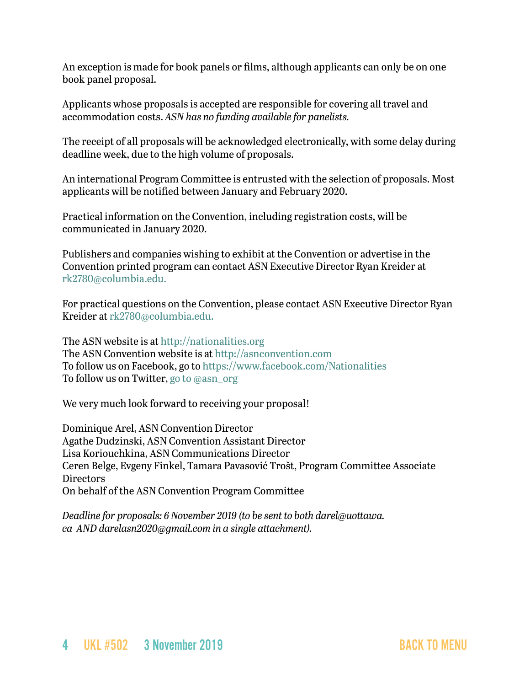An exception is made for book panels or films, although applicants can only be on one book panel proposal.

Applicants whose proposals is accepted are responsible for covering all travel and accommodation costs. *ASN has no funding available for panelists.*

The receipt of all proposals will be acknowledged electronically, with some delay during deadline week, due to the high volume of proposals.

An international Program Committee is entrusted with the selection of proposals. Most applicants will be notified between January and February 2020.

Practical information on the Convention, including registration costs, will be communicated in January 2020.

Publishers and companies wishing to exhibit at the Convention or advertise in the Convention printed program can contact ASN Executive Director Ryan Kreider at [rk2780@columbia.edu](mailto:rk2780@columbia.edu).

For practical questions on the Convention, please contact ASN Executive Director Ryan Kreider at [rk2780@columbia.edu.](mailto:rk2780@columbia.edu)

The ASN website is at [http://nationalities.org](http://nationalities.org/) The ASN Convention website is at [http://asnconvention.com](http://asnconvention.com/) To follow us on Facebook, go to<https://www.facebook.com/Nationalities> To follow us on Twitter, go to [@asn\\_org](https://twitter.com/ASN_Org?lang=en)

We very much look forward to receiving your proposal!

Dominique Arel, ASN Convention Director Agathe Dudzinski, ASN Convention Assistant Director Lisa Koriouchkina, ASN Communications Director Ceren Belge, Evgeny Finkel, Tamara Pavasović Trošt, Program Committee Associate **Directors** On behalf of the ASN Convention Program Committee

*Deadline for proposals: 6 November 2019 (to be sent to both [darel@uottawa.](mailto:darel@uottawa.ca) [ca](mailto:darel@uottawa.ca)  AND [darelasn2020@gmail.com](mailto:darelasn2020@gmail.com) in a single attachment).*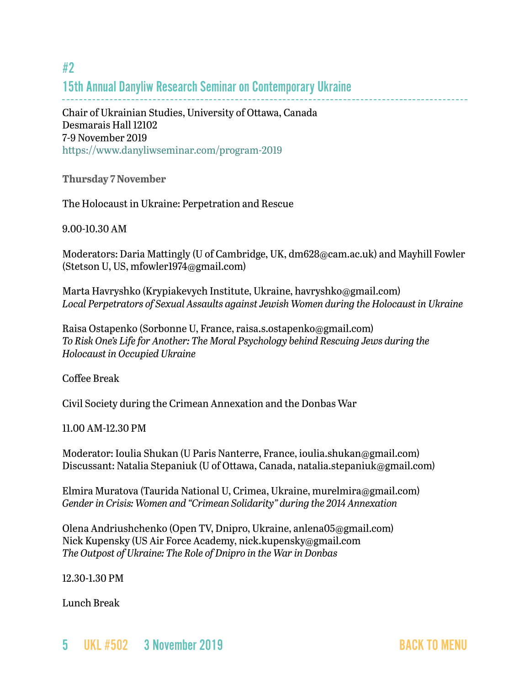# <span id="page-4-0"></span>#2 15th Annual Danyliw Research Seminar on Contemporary Ukraine

Chair of Ukrainian Studies, University of Ottawa, Canada Desmarais Hall 12102 7-9 November 2019 <https://www.danyliwseminar.com/program-2019>

**Thursday 7 November**

The Holocaust in Ukraine: Perpetration and Rescue

9.00-10.30 AM

Moderators: Daria Mattingly (U of Cambridge, UK, dm628@cam.ac.uk) and Mayhill Fowler (Stetson U, US, mfowler1974@gmail.com)

Marta Havryshko (Krypiakevych Institute, Ukraine, havryshko@gmail.com) *Local Perpetrators of Sexual Assaults against Jewish Women during the Holocaust in Ukraine*

Raisa Ostapenko (Sorbonne U, France, raisa.s.ostapenko@gmail.com) *To Risk One's Life for Another: The Moral Psychology behind Rescuing Jews during the Holocaust in Occupied Ukraine*

Coffee Break

Civil Society during the Crimean Annexation and the Donbas War

11.00 AM-12.30 PM

Moderator: Ioulia Shukan (U Paris Nanterre, France, ioulia.shukan@gmail.com) Discussant: Natalia Stepaniuk (U of Ottawa, Canada, natalia.stepaniuk@gmail.com)

Elmira Muratova (Taurida National U, Crimea, Ukraine, murelmira@gmail.com) *Gender in Crisis: Women and "Crimean Solidarity" during the 2014 Annexation*

Olena Andriushchenko (Open TV, Dnipro, Ukraine, anlena05@gmail.com) Nick Kupensky (US Air Force Academy, nick.kupensky@gmail.com *The Outpost of Ukraine: The Role of Dnipro in the War in Donbas*

12.30-1.30 PM

Lunch Break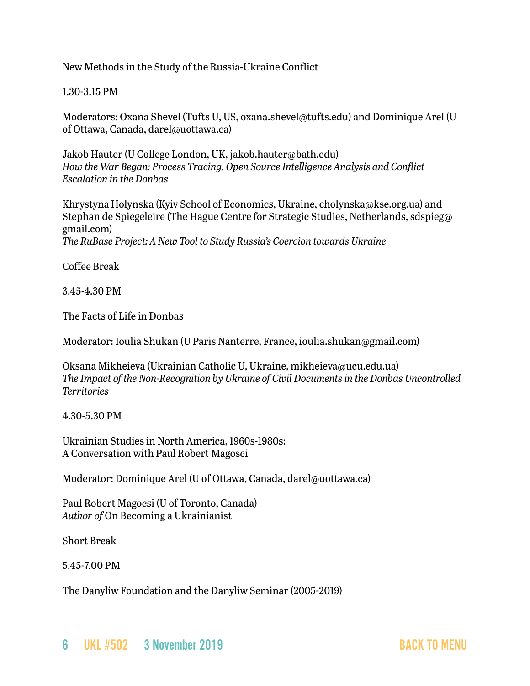New Methods in the Study of the Russia-Ukraine Conflict

1.30-3.15 PM

Moderators: Oxana Shevel (Tufts U, US, oxana.shevel@tufts.edu) and Dominique Arel (U of Ottawa, Canada, darel@uottawa.ca)

Jakob Hauter (U College London, UK, jakob.hauter@bath.edu) *How the War Began: Process Tracing, Open Source Intelligence Analysis and Conflict Escalation in the Donbas*

Khrystyna Holynska (Kyiv School of Economics, Ukraine, cholynska@kse.org.ua) and Stephan de Spiegeleire (The Hague Centre for Strategic Studies, Netherlands, sdspieg@ gmail.com) *The RuBase Project: A New Tool to Study Russia's Coercion towards Ukraine*

Coffee Break

3.45-4.30 PM

The Facts of Life in Donbas

Moderator: Ioulia Shukan (U Paris Nanterre, France, ioulia.shukan@gmail.com)

Oksana Mikheieva (Ukrainian Catholic U, Ukraine, mikheieva@ucu.edu.ua) *The Impact of the Non-Recognition by Ukraine of Civil Documents in the Donbas Uncontrolled Territories*

4.30-5.30 PM

Ukrainian Studies in North America, 1960s-1980s: A Conversation with Paul Robert Magosci

Moderator: Dominique Arel (U of Ottawa, Canada, darel@uottawa.ca)

Paul Robert Magocsi (U of Toronto, Canada) *Author of* On Becoming a Ukrainianist

Short Break

5.45-7.00 PM

The Danyliw Foundation and the Danyliw Seminar (2005-2019)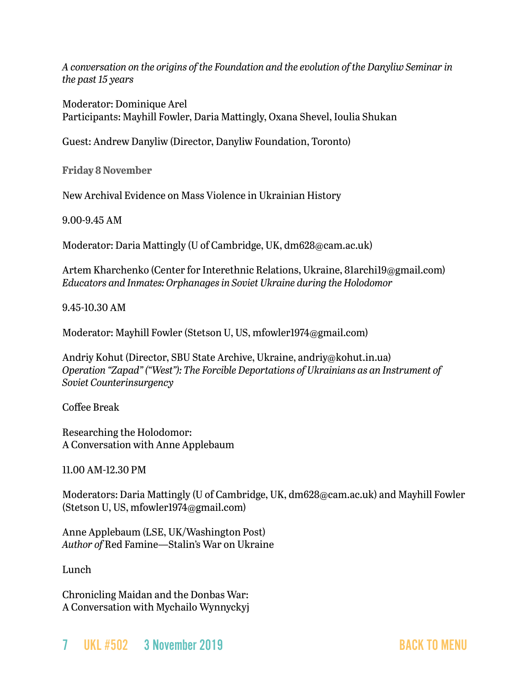*A conversation on the origins of the Foundation and the evolution of the Danyliw Seminar in the past 15 years*

Moderator: Dominique Arel Participants: Mayhill Fowler, Daria Mattingly, Oxana Shevel, Ioulia Shukan

Guest: Andrew Danyliw (Director, Danyliw Foundation, Toronto)

**Friday 8 November**

New Archival Evidence on Mass Violence in Ukrainian History

9.00-9.45 AM

Moderator: Daria Mattingly (U of Cambridge, UK, dm628@cam.ac.uk)

Artem Kharchenko (Center for Interethnic Relations, Ukraine, 81archi19@gmail.com) *Educators and Inmates: Orphanages in Soviet Ukraine during the Holodomor* 

9.45-10.30 AM

Moderator: Mayhill Fowler (Stetson U, US, mfowler1974@gmail.com)

Andriy Kohut (Director, SBU State Archive, Ukraine, andriy@kohut.in.ua) *Operation "Zapad" ("West"): The Forcible Deportations of Ukrainians as an Instrument of Soviet Counterinsurgency*

Coffee Break

Researching the Holodomor: A Conversation with Anne Applebaum

11.00 AM-12.30 PM

Moderators: Daria Mattingly (U of Cambridge, UK, dm628@cam.ac.uk) and Mayhill Fowler (Stetson U, US, mfowler1974@gmail.com)

Anne Applebaum (LSE, UK/Washington Post) *Author of* Red Famine—Stalin's War on Ukraine

Lunch

Chronicling Maidan and the Donbas War: A Conversation with Mychailo Wynnyckyj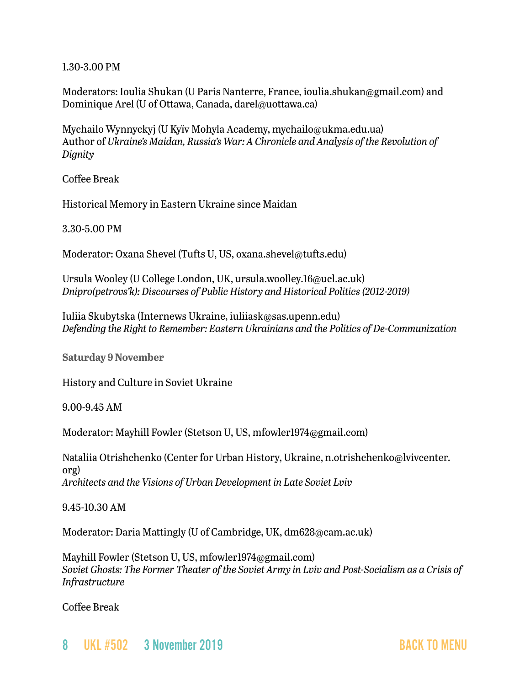1.30-3.00 PM

Moderators: Ioulia Shukan (U Paris Nanterre, France, ioulia.shukan@gmail.com) and Dominique Arel (U of Ottawa, Canada, darel@uottawa.ca)

Mychailo Wynnyckyj (U Kyïv Mohyla Academy, mychailo@ukma.edu.ua) Author of *Ukraine's Maidan, Russia's War: A Chronicle and Analysis of the Revolution of Dignity*

Coffee Break

Historical Memory in Eastern Ukraine since Maidan

3.30-5.00 PM

Moderator: Oxana Shevel (Tufts U, US, oxana.shevel@tufts.edu)

Ursula Wooley (U College London, UK, ursula.woolley.16@ucl.ac.uk) *Dnipro(petrovs'k): Discourses of Public History and Historical Politics (2012-2019)* 

Iuliia Skubytska (Internews Ukraine, iuliiask@sas.upenn.edu) *Defending the Right to Remember: Eastern Ukrainians and the Politics of De-Communization*

**Saturday 9 November**

History and Culture in Soviet Ukraine

9.00-9.45 AM

Moderator: Mayhill Fowler (Stetson U, US, mfowler1974@gmail.com)

Nataliia Otrishchenko (Center for Urban History, Ukraine, n.otrishchenko@lvivcenter. org) *Architects and the Visions of Urban Development in Late Soviet Lviv*

9.45-10.30 AM

Moderator: Daria Mattingly (U of Cambridge, UK, dm628@cam.ac.uk)

Mayhill Fowler (Stetson U, US, mfowler1974@gmail.com) *Soviet Ghosts: The Former Theater of the Soviet Army in Lviv and Post-Socialism as a Crisis of Infrastructure*

Coffee Break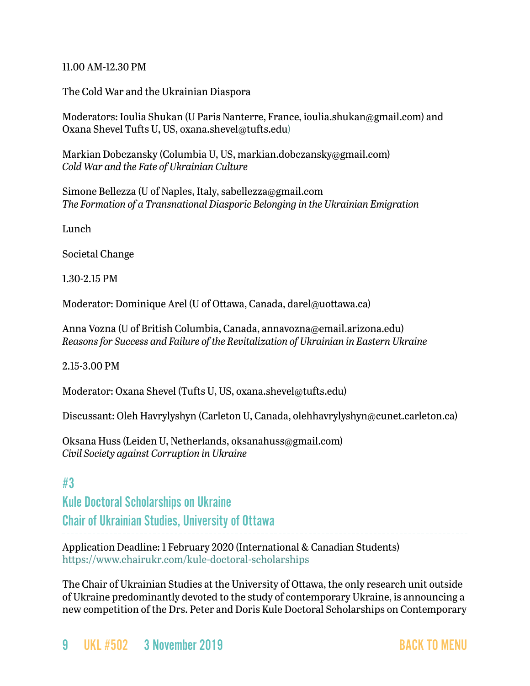## 11.00 AM-12.30 PM

The Cold War and the Ukrainian Diaspora

Moderators: Ioulia Shukan (U Paris Nanterre, France, ioulia.shukan@gmail.com) and Oxana Shevel Tufts U, US, oxana.shevel@tufts.edu)

Markian Dobczansky (Columbia U, US, markian.dobczansky@gmail.com) *Cold War and the Fate of Ukrainian Culture*

Simone Bellezza (U of Naples, Italy, sabellezza@gmail.com *The Formation of a Transnational Diasporic Belonging in the Ukrainian Emigration*

Lunch

Societal Change

1.30-2.15 PM

Moderator: Dominique Arel (U of Ottawa, Canada, darel@uottawa.ca)

Anna Vozna (U of British Columbia, Canada, annavozna@email.arizona.edu) *Reasons for Success and Failure of the Revitalization of Ukrainian in Eastern Ukraine*

2.15-3.00 PM

Moderator: Oxana Shevel (Tufts U, US, oxana.shevel@tufts.edu)

Discussant: Oleh Havrylyshyn (Carleton U, Canada, olehhavrylyshyn@cunet.carleton.ca)

Oksana Huss (Leiden U, Netherlands, oksanahuss@gmail.com) *Civil Society against Corruption in Ukraine*

## <span id="page-8-0"></span>#3

Kule Doctoral Scholarships on Ukraine

Chair of Ukrainian Studies, University of Ottawa

Application Deadline: 1 February 2020 (International & Canadian Students) <https://www.chairukr.com/kule-doctoral-scholarships>

The Chair of Ukrainian Studies at the University of Ottawa, the only research unit outside of Ukraine predominantly devoted to the study of contemporary Ukraine, is announcing a new competition of the Drs. Peter and Doris Kule Doctoral Scholarships on Contemporary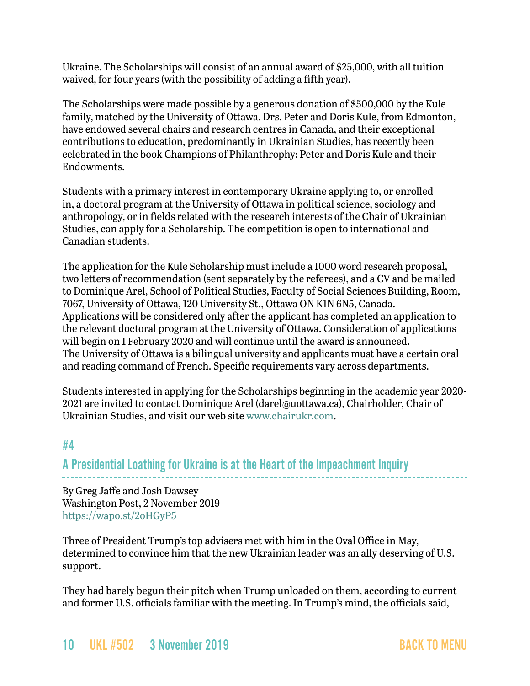Ukraine. The Scholarships will consist of an annual award of \$25,000, with all tuition waived, for four years (with the possibility of adding a fifth year).

The Scholarships were made possible by a generous donation of \$500,000 by the Kule family, matched by the University of Ottawa. Drs. Peter and Doris Kule, from Edmonton, have endowed several chairs and research centres in Canada, and their exceptional contributions to education, predominantly in Ukrainian Studies, has recently been celebrated in the book Champions of Philanthrophy: Peter and Doris Kule and their Endowments.

Students with a primary interest in contemporary Ukraine applying to, or enrolled in, a doctoral program at the University of Ottawa in political science, sociology and anthropology, or in fields related with the research interests of the Chair of Ukrainian Studies, can apply for a Scholarship. The competition is open to international and Canadian students.

The application for the Kule Scholarship must include a 1000 word research proposal, two letters of recommendation (sent separately by the referees), and a CV and be mailed to Dominique Arel, School of Political Studies, Faculty of Social Sciences Building, Room, 7067, University of Ottawa, 120 University St., Ottawa ON K1N 6N5, Canada. Applications will be considered only after the applicant has completed an application to the relevant doctoral program at the University of Ottawa. Consideration of applications will begin on 1 February 2020 and will continue until the award is announced. The University of Ottawa is a bilingual university and applicants must have a certain oral and reading command of French. Specific requirements vary across departments.

Students interested in applying for the Scholarships beginning in the academic year 2020 2021 are invited to contact Dominique Arel ([darel@uottawa.ca\)](mailto:darel@uottawa.ca), Chairholder, Chair of Ukrainian Studies, and visit our web site [www.chairukr.com](http://www.chairukr.com).

## <span id="page-9-0"></span>#4

A Presidential Loathing for Ukraine is at the Heart of the Impeachment Inquiry

By Greg Jaffe and Josh Dawsey Washington Post, 2 November 2019 <https://wapo.st/2oHGyP5>

Three of President Trump's top advisers met with him in the Oval Office in May, determined to convince him that the new Ukrainian leader was an ally deserving of U.S. support.

They had barely begun their pitch when Trump unloaded on them, according to current and former U.S. officials familiar with the meeting. In Trump's mind, the officials said,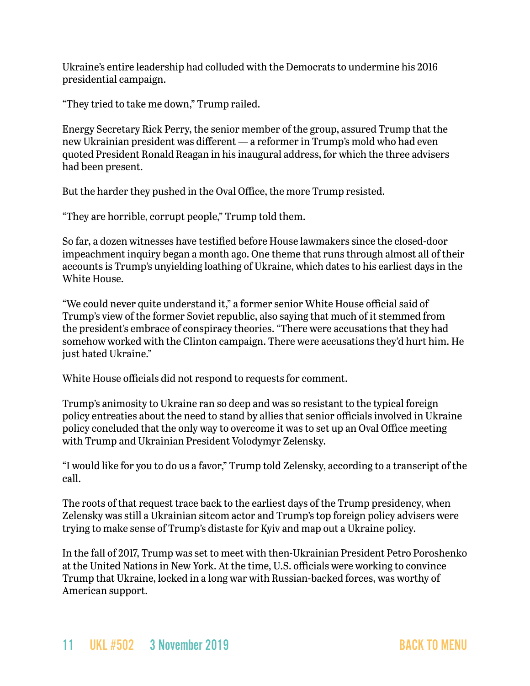Ukraine's entire leadership had colluded with the Democrats to undermine his 2016 presidential campaign.

"They tried to take me down," Trump railed.

Energy Secretary Rick Perry, the senior member of the group, assured Trump that the new Ukrainian president was different — a reformer in Trump's mold who had even quoted President Ronald Reagan in his inaugural address, for which the three advisers had been present.

But the harder they pushed in the Oval Office, the more Trump resisted.

"They are horrible, corrupt people," Trump told them.

So far, a dozen witnesses have testified before House lawmakers since the closed-door impeachment inquiry began a month ago. One theme that runs through almost all of their accounts is Trump's unyielding loathing of Ukraine, which dates to his earliest days in the White House.

"We could never quite understand it," a former senior White House official said of Trump's view of the former Soviet republic, also saying that much of it stemmed from the president's embrace of conspiracy theories. "There were accusations that they had somehow worked with the Clinton campaign. There were accusations they'd hurt him. He just hated Ukraine."

White House officials did not respond to requests for comment.

Trump's animosity to Ukraine ran so deep and was so resistant to the typical foreign policy entreaties about the need to stand by allies that senior officials involved in Ukraine policy concluded that the only way to overcome it was to set up an Oval Office meeting with Trump and Ukrainian President Volodymyr Zelensky.

"I would like for you to do us a favor," Trump told Zelensky, according to a transcript of the call.

The roots of that request trace back to the earliest days of the Trump presidency, when Zelensky was still a Ukrainian sitcom actor and Trump's top foreign policy advisers were trying to make sense of Trump's distaste for Kyiv and map out a Ukraine policy.

In the fall of 2017, Trump was set to meet with then-Ukrainian President Petro Poroshenko at the United Nations in New York. At the time, U.S. officials were working to convince Trump that Ukraine, locked in a long war with Russian-backed forces, was worthy of American support.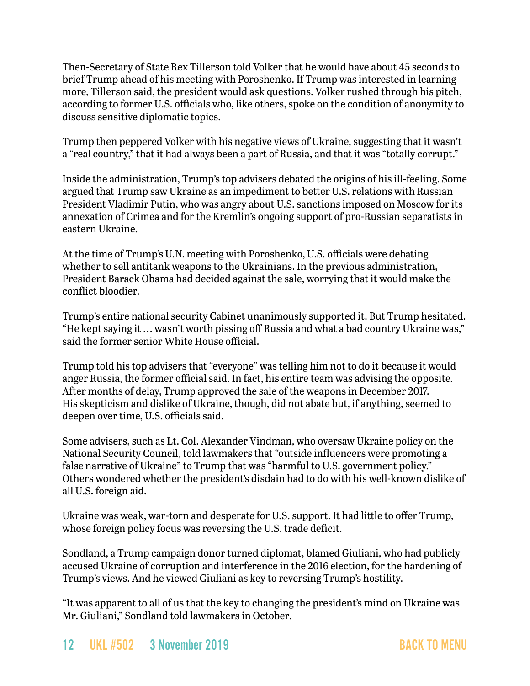Then-Secretary of State Rex Tillerson told Volker that he would have about 45 seconds to brief Trump ahead of his meeting with Poroshenko. If Trump was interested in learning more, Tillerson said, the president would ask questions. Volker rushed through his pitch, according to former U.S. officials who, like others, spoke on the condition of anonymity to discuss sensitive diplomatic topics.

Trump then peppered Volker with his negative views of Ukraine, suggesting that it wasn't a "real country," that it had always been a part of Russia, and that it was "totally corrupt."

Inside the administration, Trump's top advisers debated the origins of his ill-feeling. Some argued that Trump saw Ukraine as an impediment to better U.S. relations with Russian President Vladimir Putin, who was angry about U.S. sanctions imposed on Moscow for its annexation of Crimea and for the Kremlin's ongoing support of pro-Russian separatists in eastern Ukraine.

At the time of Trump's U.N. meeting with Poroshenko, U.S. officials were debating whether to sell antitank weapons to the Ukrainians. In the previous administration, President Barack Obama had decided against the sale, worrying that it would make the conflict bloodier.

Trump's entire national security Cabinet unanimously supported it. But Trump hesitated. "He kept saying it ... wasn't worth pissing off Russia and what a bad country Ukraine was," said the former senior White House official.

Trump told his top advisers that "everyone" was telling him not to do it because it would anger Russia, the former official said. In fact, his entire team was advising the opposite. After months of delay, Trump approved the sale of the weapons in December 2017. His skepticism and dislike of Ukraine, though, did not abate but, if anything, seemed to deepen over time, U.S. officials said.

Some advisers, such as Lt. Col. Alexander Vindman, who oversaw Ukraine policy on the National Security Council, told lawmakers that "outside influencers were promoting a false narrative of Ukraine" to Trump that was "harmful to U.S. government policy." Others wondered whether the president's disdain had to do with his well-known dislike of all U.S. foreign aid.

Ukraine was weak, war-torn and desperate for U.S. support. It had little to offer Trump, whose foreign policy focus was reversing the U.S. trade deficit.

Sondland, a Trump campaign donor turned diplomat, blamed Giuliani, who had publicly accused Ukraine of corruption and interference in the 2016 election, for the hardening of Trump's views. And he viewed Giuliani as key to reversing Trump's hostility.

"It was apparent to all of us that the key to changing the president's mind on Ukraine was Mr. Giuliani," Sondland told lawmakers in October.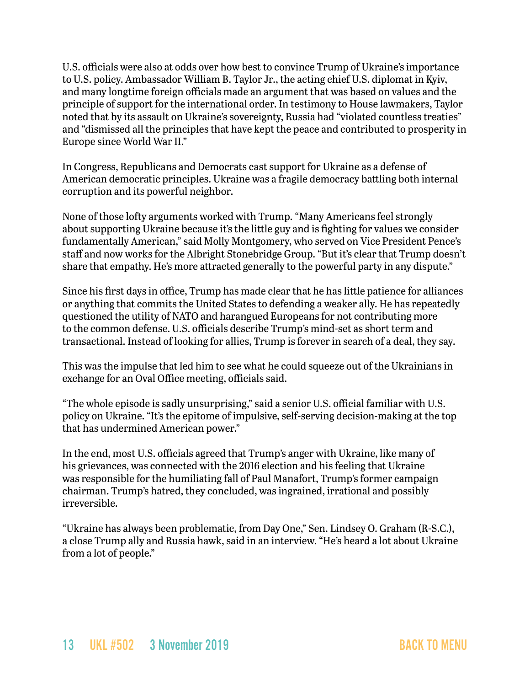U.S. officials were also at odds over how best to convince Trump of Ukraine's importance to U.S. policy. Ambassador William B. Taylor Jr., the acting chief U.S. diplomat in Kyiv, and many longtime foreign officials made an argument that was based on values and the principle of support for the international order. In testimony to House lawmakers, Taylor noted that by its assault on Ukraine's sovereignty, Russia had "violated countless treaties" and "dismissed all the principles that have kept the peace and contributed to prosperity in Europe since World War II."

In Congress, Republicans and Democrats cast support for Ukraine as a defense of American democratic principles. Ukraine was a fragile democracy battling both internal corruption and its powerful neighbor.

None of those lofty arguments worked with Trump. "Many Americans feel strongly about supporting Ukraine because it's the little guy and is fighting for values we consider fundamentally American," said Molly Montgomery, who served on Vice President Pence's staff and now works for the Albright Stonebridge Group. "But it's clear that Trump doesn't share that empathy. He's more attracted generally to the powerful party in any dispute."

Since his first days in office, Trump has made clear that he has little patience for alliances or anything that commits the United States to defending a weaker ally. He has repeatedly questioned the utility of NATO and harangued Europeans for not contributing more to the common defense. U.S. officials describe Trump's mind-set as short term and transactional. Instead of looking for allies, Trump is forever in search of a deal, they say.

This was the impulse that led him to see what he could squeeze out of the Ukrainians in exchange for an Oval Office meeting, officials said.

"The whole episode is sadly unsurprising," said a senior U.S. official familiar with U.S. policy on Ukraine. "It's the epitome of impulsive, self-serving decision-making at the top that has undermined American power."

In the end, most U.S. officials agreed that Trump's anger with Ukraine, like many of his grievances, was connected with the 2016 election and his feeling that Ukraine was responsible for the humiliating fall of Paul Manafort, Trump's former campaign chairman. Trump's hatred, they concluded, was ingrained, irrational and possibly irreversible.

"Ukraine has always been problematic, from Day One," Sen. Lindsey O. Graham (R-S.C.), a close Trump ally and Russia hawk, said in an interview. "He's heard a lot about Ukraine from a lot of people."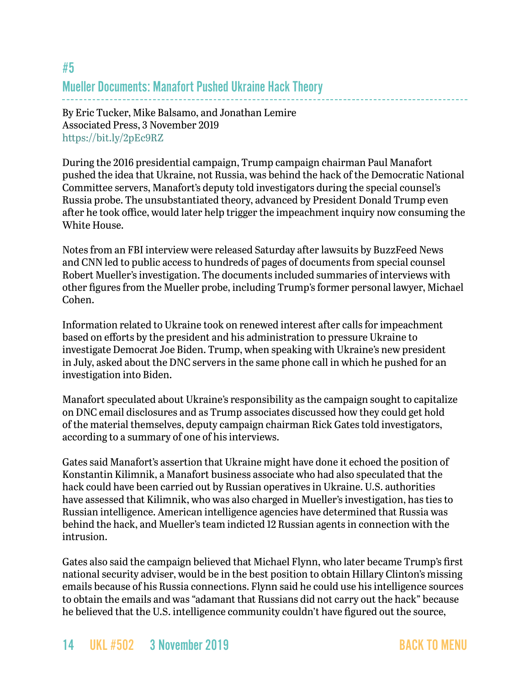# <span id="page-13-0"></span>#5 Mueller Documents: Manafort Pushed Ukraine Hack Theory

By Eric Tucker, Mike Balsamo, and Jonathan Lemire Associated Press, 3 November 2019 <https://bit.ly/2pEc9RZ>

During the 2016 presidential campaign, Trump campaign chairman Paul Manafort pushed the idea that Ukraine, not Russia, was behind the hack of the Democratic National Committee servers, Manafort's deputy told investigators during the special counsel's Russia probe. The unsubstantiated theory, advanced by President Donald Trump even after he took office, would later help trigger the impeachment inquiry now consuming the White House.

Notes from an FBI interview were released Saturday after lawsuits by BuzzFeed News and CNN led to public access to hundreds of pages of documents from special counsel Robert Mueller's investigation. The documents included summaries of interviews with other figures from the Mueller probe, including Trump's former personal lawyer, Michael Cohen.

Information related to Ukraine took on renewed interest after calls for impeachment based on efforts by the president and his administration to pressure Ukraine to investigate Democrat Joe Biden. Trump, when speaking with Ukraine's new president in July, asked about the DNC servers in the same phone call in which he pushed for an investigation into Biden.

Manafort speculated about Ukraine's responsibility as the campaign sought to capitalize on DNC email disclosures and as Trump associates discussed how they could get hold of the material themselves, deputy campaign chairman Rick Gates told investigators, according to a summary of one of his interviews.

Gates said Manafort's assertion that Ukraine might have done it echoed the position of Konstantin Kilimnik, a Manafort business associate who had also speculated that the hack could have been carried out by Russian operatives in Ukraine. U.S. authorities have assessed that Kilimnik, who was also charged in Mueller's investigation, has ties to Russian intelligence. American intelligence agencies have determined that Russia was behind the hack, and Mueller's team indicted 12 Russian agents in connection with the intrusion.

Gates also said the campaign believed that Michael Flynn, who later became Trump's first national security adviser, would be in the best position to obtain Hillary Clinton's missing emails because of his Russia connections. Flynn said he could use his intelligence sources to obtain the emails and was "adamant that Russians did not carry out the hack" because he believed that the U.S. intelligence community couldn't have figured out the source,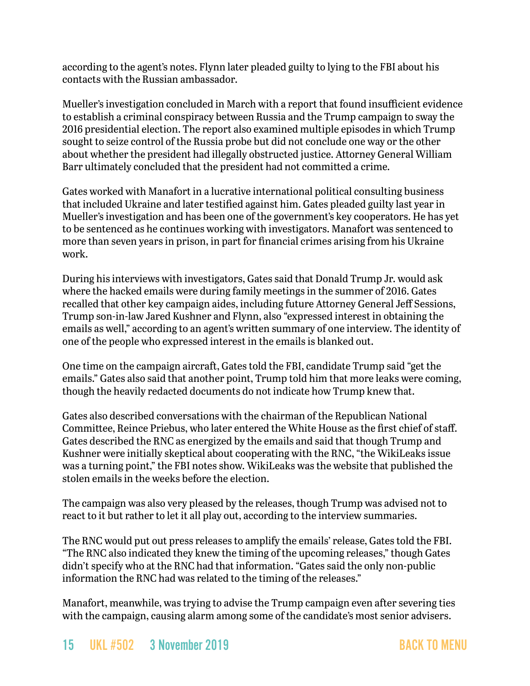according to the agent's notes. Flynn later pleaded guilty to lying to the FBI about his contacts with the Russian ambassador.

Mueller's investigation concluded in March with a report that found insufficient evidence to establish a criminal conspiracy between Russia and the Trump campaign to sway the 2016 presidential election. The report also examined multiple episodes in which Trump sought to seize control of the Russia probe but did not conclude one way or the other about whether the president had illegally obstructed justice. Attorney General William Barr ultimately concluded that the president had not committed a crime.

Gates worked with Manafort in a lucrative international political consulting business that included Ukraine and later testified against him. Gates pleaded guilty last year in Mueller's investigation and has been one of the government's key cooperators. He has yet to be sentenced as he continues working with investigators. Manafort was sentenced to more than seven years in prison, in part for financial crimes arising from his Ukraine work.

During his interviews with investigators, Gates said that Donald Trump Jr. would ask where the hacked emails were during family meetings in the summer of 2016. Gates recalled that other key campaign aides, including future Attorney General Jeff Sessions, Trump son-in-law Jared Kushner and Flynn, also "expressed interest in obtaining the emails as well," according to an agent's written summary of one interview. The identity of one of the people who expressed interest in the emails is blanked out.

One time on the campaign aircraft, Gates told the FBI, candidate Trump said "get the emails." Gates also said that another point, Trump told him that more leaks were coming, though the heavily redacted documents do not indicate how Trump knew that.

Gates also described conversations with the chairman of the Republican National Committee, Reince Priebus, who later entered the White House as the first chief of staff. Gates described the RNC as energized by the emails and said that though Trump and Kushner were initially skeptical about cooperating with the RNC, "the WikiLeaks issue was a turning point," the FBI notes show. WikiLeaks was the website that published the stolen emails in the weeks before the election.

The campaign was also very pleased by the releases, though Trump was advised not to react to it but rather to let it all play out, according to the interview summaries.

The RNC would put out press releases to amplify the emails' release, Gates told the FBI. "The RNC also indicated they knew the timing of the upcoming releases," though Gates didn't specify who at the RNC had that information. "Gates said the only non-public information the RNC had was related to the timing of the releases."

Manafort, meanwhile, was trying to advise the Trump campaign even after severing ties with the campaign, causing alarm among some of the candidate's most senior advisers.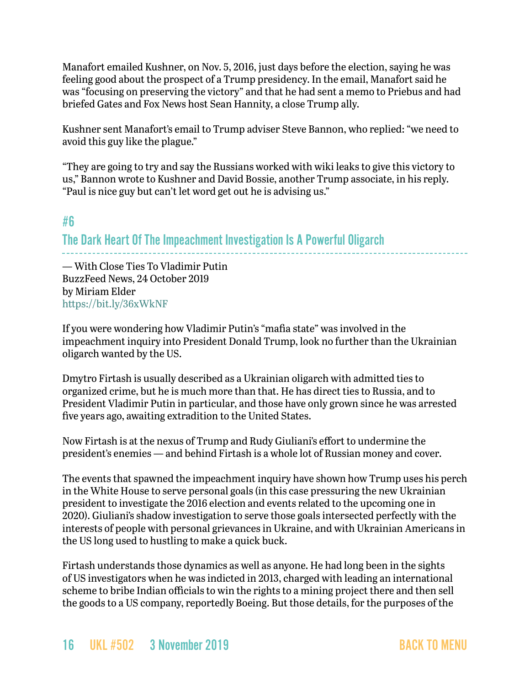Manafort emailed Kushner, on Nov. 5, 2016, just days before the election, saying he was feeling good about the prospect of a Trump presidency. In the email, Manafort said he was "focusing on preserving the victory" and that he had sent a memo to Priebus and had briefed Gates and Fox News host Sean Hannity, a close Trump ally.

Kushner sent Manafort's email to Trump adviser Steve Bannon, who replied: "we need to avoid this guy like the plague."

"They are going to try and say the Russians worked with wiki leaks to give this victory to us," Bannon wrote to Kushner and David Bossie, another Trump associate, in his reply. "Paul is nice guy but can't let word get out he is advising us."

## <span id="page-15-0"></span>#6

The Dark Heart Of The Impeachment Investigation Is A Powerful Oligarch

— With Close Ties To Vladimir Putin BuzzFeed News, 24 October 2019 by Miriam Elder <https://bit.ly/36xWkNF>

If you were wondering how Vladimir Putin's "mafia state" was involved in the impeachment inquiry into President Donald Trump, look no further than the Ukrainian oligarch wanted by the US.

Dmytro Firtash is usually described as a Ukrainian oligarch with admitted ties to organized crime, but he is much more than that. He has direct ties to Russia, and to President Vladimir Putin in particular, and those have only grown since he was arrested five years ago, awaiting extradition to the United States.

Now Firtash is at the nexus of Trump and Rudy Giuliani's effort to undermine the president's enemies — and behind Firtash is a whole lot of Russian money and cover.

The events that spawned the impeachment inquiry have shown how Trump uses his perch in the White House to serve personal goals (in this case pressuring the new Ukrainian president to investigate the 2016 election and events related to the upcoming one in 2020). Giuliani's shadow investigation to serve those goals intersected perfectly with the interests of people with personal grievances in Ukraine, and with Ukrainian Americans in the US long used to hustling to make a quick buck.

Firtash understands those dynamics as well as anyone. He had long been in the sights of US investigators when he was indicted in 2013, charged with leading an international scheme to bribe Indian officials to win the rights to a mining project there and then sell the goods to a US company, reportedly Boeing. But those details, for the purposes of the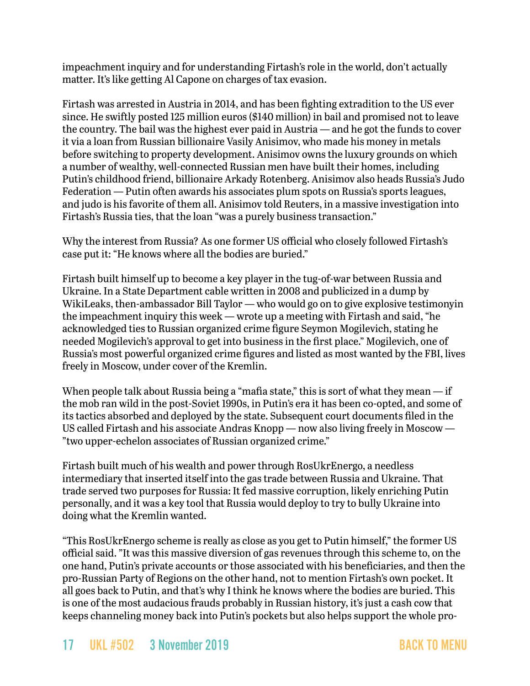impeachment inquiry and for understanding Firtash's role in the world, don't actually matter. It's like getting Al Capone on charges of tax evasion.

Firtash was arrested in Austria in 2014, and has been fighting extradition to the US ever since. He swiftly posted 125 million euros (\$140 million) in bail and promised not to leave the country. The bail was the highest ever paid in Austria — and he got the funds to cover it via a loan from Russian billionaire Vasily Anisimov, who made his money in metals before switching to property development. Anisimov owns the luxury grounds on which a number of wealthy, well-connected Russian men have built their homes, including Putin's childhood friend, billionaire Arkady Rotenberg. Anisimov also heads Russia's Judo Federation — Putin often awards his associates plum spots on Russia's sports leagues, and judo is his favorite of them all. Anisimov told Reuters, in a massive investigation into Firtash's Russia ties, that the loan "was a purely business transaction."

Why the interest from Russia? As one former US official who closely followed Firtash's case put it: "He knows where all the bodies are buried."

Firtash built himself up to become a key player in the tug-of-war between Russia and Ukraine. In a State Department cable written in 2008 and publicized in a dump by WikiLeaks, then-ambassador Bill Taylor — who would go on to give explosive testimonyin the impeachment inquiry this week — wrote up a meeting with Firtash and said, "he acknowledged ties to Russian organized crime figure Seymon Mogilevich, stating he needed Mogilevich's approval to get into business in the first place." Mogilevich, one of Russia's most powerful organized crime figures and listed as most wanted by the FBI, lives freely in Moscow, under cover of the Kremlin.

When people talk about Russia being a "mafia state," this is sort of what they mean  $-$  if the mob ran wild in the post-Soviet 1990s, in Putin's era it has been co-opted, and some of its tactics absorbed and deployed by the state. Subsequent court documents filed in the US called Firtash and his associate Andras Knopp — now also living freely in Moscow — "two upper-echelon associates of Russian organized crime."

Firtash built much of his wealth and power through RosUkrEnergo, a needless intermediary that inserted itself into the gas trade between Russia and Ukraine. That trade served two purposes for Russia: It fed massive corruption, likely enriching Putin personally, and it was a key tool that Russia would deploy to try to bully Ukraine into doing what the Kremlin wanted.

"This RosUkrEnergo scheme is really as close as you get to Putin himself," the former US official said. "It was this massive diversion of gas revenues through this scheme to, on the one hand, Putin's private accounts or those associated with his beneficiaries, and then the pro-Russian Party of Regions on the other hand, not to mention Firtash's own pocket. It all goes back to Putin, and that's why I think he knows where the bodies are buried. This is one of the most audacious frauds probably in Russian history, it's just a cash cow that keeps channeling money back into Putin's pockets but also helps support the whole pro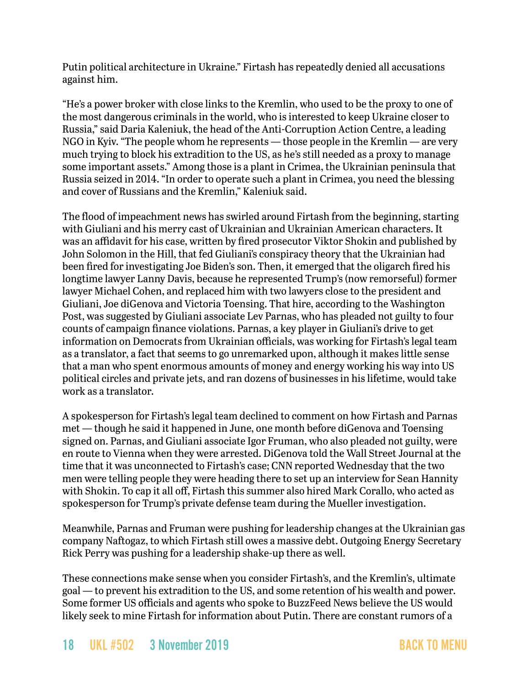Putin political architecture in Ukraine." Firtash has repeatedly denied all accusations against him.

"He's a power broker with close links to the Kremlin, who used to be the proxy to one of the most dangerous criminals in the world, who is interested to keep Ukraine closer to Russia," said Daria Kaleniuk, the head of the Anti-Corruption Action Centre, a leading NGO in Kyiv. "The people whom he represents — those people in the Kremlin — are very much trying to block his extradition to the US, as he's still needed as a proxy to manage some important assets." Among those is a plant in Crimea, the Ukrainian peninsula that Russia seized in 2014. "In order to operate such a plant in Crimea, you need the blessing and cover of Russians and the Kremlin," Kaleniuk said.

The flood of impeachment news has swirled around Firtash from the beginning, starting with Giuliani and his merry cast of Ukrainian and Ukrainian American characters. It was an affidavit for his case, written by fired prosecutor Viktor Shokin and published by John Solomon in the Hill, that fed Giuliani's conspiracy theory that the Ukrainian had been fired for investigating Joe Biden's son. Then, it emerged that the oligarch fired his longtime lawyer Lanny Davis, because he represented Trump's (now remorseful) former lawyer Michael Cohen, and replaced him with two lawyers close to the president and Giuliani, Joe diGenova and Victoria Toensing. That hire, according to the Washington Post, was suggested by Giuliani associate Lev Parnas, who has pleaded not guilty to four counts of campaign finance violations. Parnas, a key player in Giuliani's drive to get information on Democrats from Ukrainian officials, was working for Firtash's legal team as a translator, a fact that seems to go unremarked upon, although it makes little sense that a man who spent enormous amounts of money and energy working his way into US political circles and private jets, and ran dozens of businesses in his lifetime, would take work as a translator.

A spokesperson for Firtash's legal team declined to comment on how Firtash and Parnas met — though he said it happened in June, one month before diGenova and Toensing signed on. Parnas, and Giuliani associate Igor Fruman, who also pleaded not guilty, were en route to Vienna when they were arrested. DiGenova told the Wall Street Journal at the time that it was unconnected to Firtash's case; CNN reported Wednesday that the two men were telling people they were heading there to set up an interview for Sean Hannity with Shokin. To cap it all off, Firtash this summer also hired Mark Corallo, who acted as spokesperson for Trump's private defense team during the Mueller investigation.

Meanwhile, Parnas and Fruman were pushing for leadership changes at the Ukrainian gas company Naftogaz, to which Firtash still owes a massive debt. Outgoing Energy Secretary Rick Perry was pushing for a leadership shake-up there as well.

These connections make sense when you consider Firtash's, and the Kremlin's, ultimate goal — to prevent his extradition to the US, and some retention of his wealth and power. Some former US officials and agents who spoke to BuzzFeed News believe the US would likely seek to mine Firtash for information about Putin. There are constant rumors of a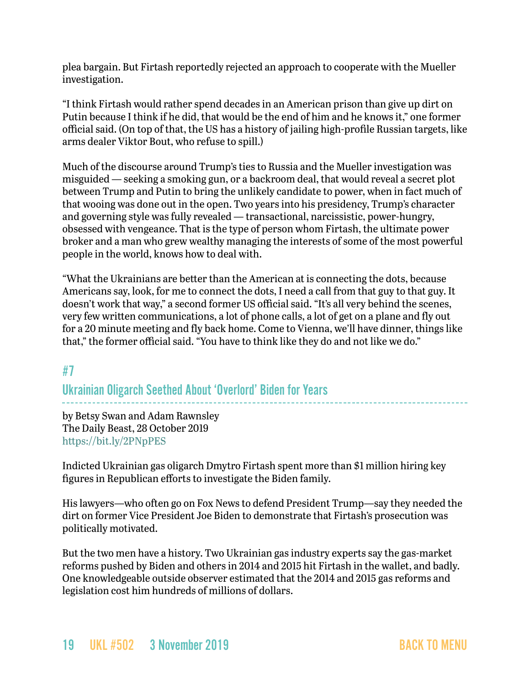plea bargain. But Firtash reportedly rejected an approach to cooperate with the Mueller investigation.

"I think Firtash would rather spend decades in an American prison than give up dirt on Putin because I think if he did, that would be the end of him and he knows it," one former official said. (On top of that, the US has a history of jailing high-profile Russian targets, like arms dealer Viktor Bout, who refuse to spill.)

Much of the discourse around Trump's ties to Russia and the Mueller investigation was misguided — seeking a smoking gun, or a backroom deal, that would reveal a secret plot between Trump and Putin to bring the unlikely candidate to power, when in fact much of that wooing was done out in the open. Two years into his presidency, Trump's character and governing style was fully revealed — transactional, narcissistic, power-hungry, obsessed with vengeance. That is the type of person whom Firtash, the ultimate power broker and a man who grew wealthy managing the interests of some of the most powerful people in the world, knows how to deal with.

"What the Ukrainians are better than the American at is connecting the dots, because Americans say, look, for me to connect the dots, I need a call from that guy to that guy. It doesn't work that way," a second former US official said. "It's all very behind the scenes, very few written communications, a lot of phone calls, a lot of get on a plane and fly out for a 20 minute meeting and fly back home. Come to Vienna, we'll have dinner, things like that," the former official said. "You have to think like they do and not like we do."

## <span id="page-18-0"></span>#7

Ukrainian Oligarch Seethed About 'Overlord' Biden for Years

by Betsy Swan and Adam Rawnsley The Daily Beast, 28 October 2019 <https://bit.ly/2PNpPES>

Indicted Ukrainian gas oligarch Dmytro Firtash spent more than \$1 million hiring key figures in Republican efforts to investigate the Biden family.

His lawyers—who often go on Fox News to defend President Trump—say they needed the dirt on former Vice President Joe Biden to demonstrate that Firtash's prosecution was politically motivated.

But the two men have a history. Two Ukrainian gas industry experts say the gas-market reforms pushed by Biden and others in 2014 and 2015 hit Firtash in the wallet, and badly. One knowledgeable outside observer estimated that the 2014 and 2015 gas reforms and legislation cost him hundreds of millions of dollars.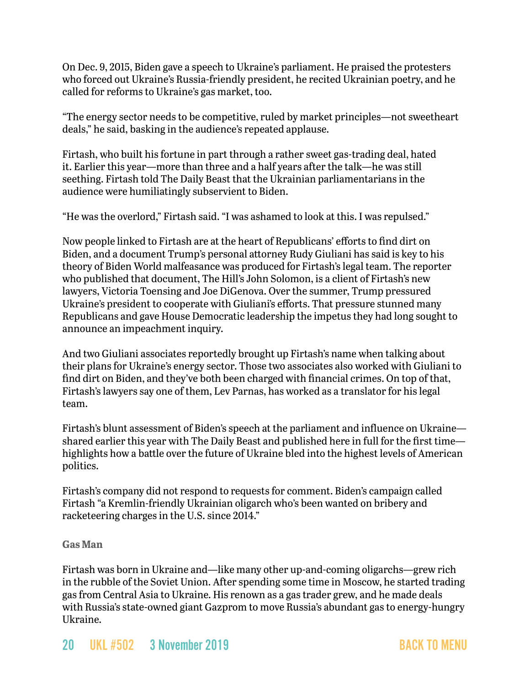On Dec. 9, 2015, Biden gave a speech to Ukraine's parliament. He praised the protesters who forced out Ukraine's Russia-friendly president, he recited Ukrainian poetry, and he called for reforms to Ukraine's gas market, too.

"The energy sector needs to be competitive, ruled by market principles—not sweetheart deals," he said, basking in the audience's repeated applause.

Firtash, who built his fortune in part through a rather sweet gas-trading deal, hated it. Earlier this year—more than three and a half years after the talk—he was still seething. Firtash told The Daily Beast that the Ukrainian parliamentarians in the audience were humiliatingly subservient to Biden.

"He was the overlord," Firtash said. "I was ashamed to look at this. I was repulsed."

Now people linked to Firtash are at the heart of Republicans' efforts to find dirt on Biden, and a document Trump's personal attorney Rudy Giuliani has said is key to his theory of Biden World malfeasance was produced for Firtash's legal team. The reporter who published that document, The Hill's John Solomon, is a client of Firtash's new lawyers, Victoria Toensing and Joe DiGenova. Over the summer, Trump pressured Ukraine's president to cooperate with Giuliani's efforts. That pressure stunned many Republicans and gave House Democratic leadership the impetus they had long sought to announce an impeachment inquiry.

And two Giuliani associates reportedly brought up Firtash's name when talking about their plans for Ukraine's energy sector. Those two associates also worked with Giuliani to find dirt on Biden, and they've both been charged with financial crimes. On top of that, Firtash's lawyers say one of them, Lev Parnas, has worked as a translator for his legal team.

Firtash's blunt assessment of Biden's speech at the parliament and influence on Ukraine shared earlier this year with The Daily Beast and published here in full for the first time highlights how a battle over the future of Ukraine bled into the highest levels of American politics.

Firtash's company did not respond to requests for comment. Biden's campaign called Firtash "a Kremlin-friendly Ukrainian oligarch who's been wanted on bribery and racketeering charges in the U.S. since 2014."

**Gas Man**

Firtash was born in Ukraine and—like many other up-and-coming oligarchs—grew rich in the rubble of the Soviet Union. After spending some time in Moscow, he started trading gas from Central Asia to Ukraine. His renown as a gas trader grew, and he made deals with Russia's state-owned giant Gazprom to move Russia's abundant gas to energy-hungry Ukraine.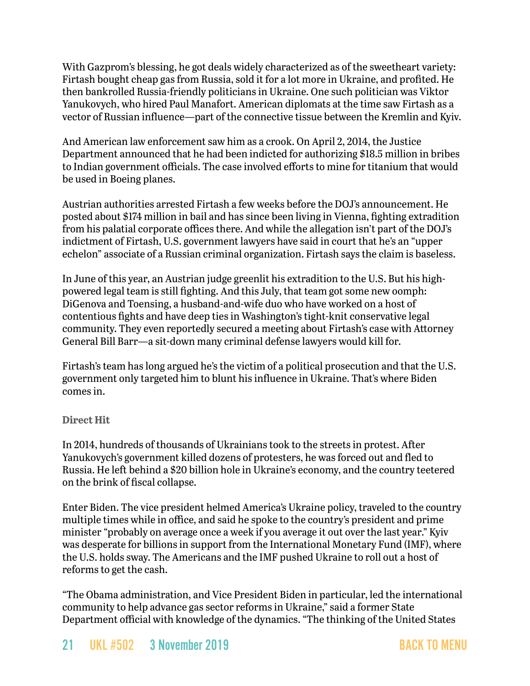With Gazprom's blessing, he got deals widely characterized as of the sweetheart variety: Firtash bought cheap gas from Russia, sold it for a lot more in Ukraine, and profited. He then bankrolled Russia-friendly politicians in Ukraine. One such politician was Viktor Yanukovych, who hired Paul Manafort. American diplomats at the time saw Firtash as a vector of Russian influence—part of the connective tissue between the Kremlin and Kyiv.

And American law enforcement saw him as a crook. On April 2, 2014, the Justice Department announced that he had been indicted for authorizing \$18.5 million in bribes to Indian government officials. The case involved efforts to mine for titanium that would be used in Boeing planes.

Austrian authorities arrested Firtash a few weeks before the DOJ's announcement. He posted about \$174 million in bail and has since been living in Vienna, fighting extradition from his palatial corporate offices there. And while the allegation isn't part of the DOJ's indictment of Firtash, U.S. government lawyers have said in court that he's an "upper echelon" associate of a Russian criminal organization. Firtash says the claim is baseless.

In June of this year, an Austrian judge greenlit his extradition to the U.S. But his highpowered legal team is still fighting. And this July, that team got some new oomph: DiGenova and Toensing, a husband-and-wife duo who have worked on a host of contentious fights and have deep ties in Washington's tight-knit conservative legal community. They even reportedly secured a meeting about Firtash's case with Attorney General Bill Barr—a sit-down many criminal defense lawyers would kill for.

Firtash's team has long argued he's the victim of a political prosecution and that the U.S. government only targeted him to blunt his influence in Ukraine. That's where Biden comes in.

## **Direct Hit**

In 2014, hundreds of thousands of Ukrainians took to the streets in protest. After Yanukovych's government killed dozens of protesters, he was forced out and fled to Russia. He left behind a \$20 billion hole in Ukraine's economy, and the country teetered on the brink of fiscal collapse.

Enter Biden. The vice president helmed America's Ukraine policy, traveled to the country multiple times while in office, and said he spoke to the country's president and prime minister "probably on average once a week if you average it out over the last year." Kyiv was desperate for billions in support from the International Monetary Fund (IMF), where the U.S. holds sway. The Americans and the IMF pushed Ukraine to roll out a host of reforms to get the cash.

"The Obama administration, and Vice President Biden in particular, led the international community to help advance gas sector reforms in Ukraine," said a former State Department official with knowledge of the dynamics. "The thinking of the United States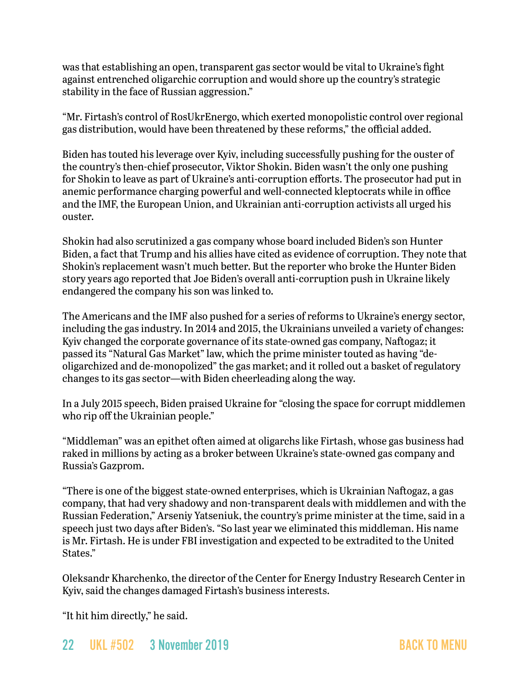was that establishing an open, transparent gas sector would be vital to Ukraine's fight against entrenched oligarchic corruption and would shore up the country's strategic stability in the face of Russian aggression."

"Mr. Firtash's control of RosUkrEnergo, which exerted monopolistic control over regional gas distribution, would have been threatened by these reforms," the official added.

Biden has touted his leverage over Kyiv, including successfully pushing for the ouster of the country's then-chief prosecutor, Viktor Shokin. Biden wasn't the only one pushing for Shokin to leave as part of Ukraine's anti-corruption efforts. The prosecutor had put in anemic performance charging powerful and well-connected kleptocrats while in office and the IMF, the European Union, and Ukrainian anti-corruption activists all urged his ouster.

Shokin had also scrutinized a gas company whose board included Biden's son Hunter Biden, a fact that Trump and his allies have cited as evidence of corruption. They note that Shokin's replacement wasn't much better. But the reporter who broke the Hunter Biden story years ago reported that Joe Biden's overall anti-corruption push in Ukraine likely endangered the company his son was linked to.

The Americans and the IMF also pushed for a series of reforms to Ukraine's energy sector, including the gas industry. In 2014 and 2015, the Ukrainians unveiled a variety of changes: Kyiv changed the corporate governance of its state-owned gas company, Naftogaz; it passed its "Natural Gas Market" law, which the prime minister touted as having "deoligarchized and de-monopolized" the gas market; and it rolled out a basket of regulatory changes to its gas sector—with Biden cheerleading along the way.

In a July 2015 speech, Biden praised Ukraine for "closing the space for corrupt middlemen who rip off the Ukrainian people."

"Middleman" was an epithet often aimed at oligarchs like Firtash, whose gas business had raked in millions by acting as a broker between Ukraine's state-owned gas company and Russia's Gazprom.

"There is one of the biggest state-owned enterprises, which is Ukrainian Naftogaz, a gas company, that had very shadowy and non-transparent deals with middlemen and with the Russian Federation," Arseniy Yatseniuk, the country's prime minister at the time, said in a speech just two days after Biden's. "So last year we eliminated this middleman. His name is Mr. Firtash. He is under FBI investigation and expected to be extradited to the United States."

Oleksandr Kharchenko, the director of the Center for Energy Industry Research Center in Kyiv, said the changes damaged Firtash's business interests.

"It hit him directly," he said.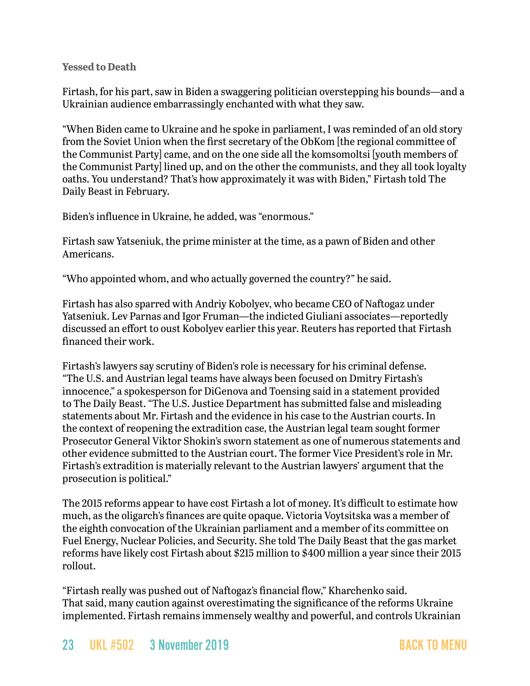### **Yessed to Death**

Firtash, for his part, saw in Biden a swaggering politician overstepping his bounds—and a Ukrainian audience embarrassingly enchanted with what they saw.

"When Biden came to Ukraine and he spoke in parliament, I was reminded of an old story from the Soviet Union when the first secretary of the ObKom [the regional committee of the Communist Party] came, and on the one side all the komsomoltsi [youth members of the Communist Party] lined up, and on the other the communists, and they all took loyalty oaths. You understand? That's how approximately it was with Biden," Firtash told The Daily Beast in February.

Biden's influence in Ukraine, he added, was "enormous."

Firtash saw Yatseniuk, the prime minister at the time, as a pawn of Biden and other Americans.

"Who appointed whom, and who actually governed the country?" he said.

Firtash has also sparred with Andriy Kobolyev, who became CEO of Naftogaz under Yatseniuk. Lev Parnas and Igor Fruman—the indicted Giuliani associates—reportedly discussed an effort to oust Kobolyev earlier this year. Reuters has reported that Firtash financed their work.

Firtash's lawyers say scrutiny of Biden's role is necessary for his criminal defense. "The U.S. and Austrian legal teams have always been focused on Dmitry Firtash's innocence," a spokesperson for DiGenova and Toensing said in a statement provided to The Daily Beast. "The U.S. Justice Department has submitted false and misleading statements about Mr. Firtash and the evidence in his case to the Austrian courts. In the context of reopening the extradition case, the Austrian legal team sought former Prosecutor General Viktor Shokin's sworn statement as one of numerous statements and other evidence submitted to the Austrian court. The former Vice President's role in Mr. Firtash's extradition is materially relevant to the Austrian lawyers' argument that the prosecution is political."

The 2015 reforms appear to have cost Firtash a lot of money. It's difficult to estimate how much, as the oligarch's finances are quite opaque. Victoria Voytsitska was a member of the eighth convocation of the Ukrainian parliament and a member of its committee on Fuel Energy, Nuclear Policies, and Security. She told The Daily Beast that the gas market reforms have likely cost Firtash about \$215 million to \$400 million a year since their 2015 rollout.

"Firtash really was pushed out of Naftogaz's financial flow," Kharchenko said. That said, many caution against overestimating the significance of the reforms Ukraine implemented. Firtash remains immensely wealthy and powerful, and controls Ukrainian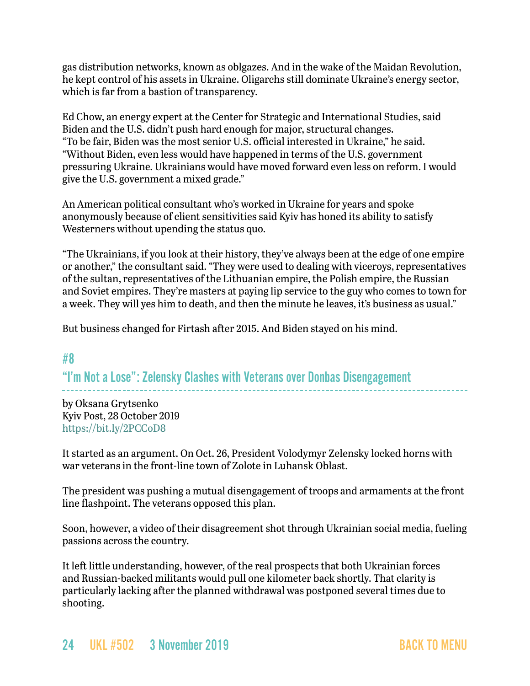gas distribution networks, known as oblgazes. And in the wake of the Maidan Revolution, he kept control of his assets in Ukraine. Oligarchs still dominate Ukraine's energy sector, which is far from a bastion of transparency.

Ed Chow, an energy expert at the Center for Strategic and International Studies, said Biden and the U.S. didn't push hard enough for major, structural changes. "To be fair, Biden was the most senior U.S. official interested in Ukraine," he said. "Without Biden, even less would have happened in terms of the U.S. government pressuring Ukraine. Ukrainians would have moved forward even less on reform. I would give the U.S. government a mixed grade."

An American political consultant who's worked in Ukraine for years and spoke anonymously because of client sensitivities said Kyiv has honed its ability to satisfy Westerners without upending the status quo.

"The Ukrainians, if you look at their history, they've always been at the edge of one empire or another," the consultant said. "They were used to dealing with viceroys, representatives of the sultan, representatives of the Lithuanian empire, the Polish empire, the Russian and Soviet empires. They're masters at paying lip service to the guy who comes to town for a week. They will yes him to death, and then the minute he leaves, it's business as usual."

But business changed for Firtash after 2015. And Biden stayed on his mind.

## #8

"I'm Not a Lose": Zelensky Clashes with Veterans over Donbas Disengagement

by Oksana Grytsenko Kyiv Post, 28 October 2019 <https://bit.ly/2PCCoD8>

It started as an argument. On Oct. 26, President Volodymyr Zelensky locked horns with war veterans in the front-line town of Zolote in Luhansk Oblast.

The president was pushing a mutual disengagement of troops and armaments at the front line flashpoint. The veterans opposed this plan.

Soon, however, a video of their disagreement shot through Ukrainian social media, fueling passions across the country.

It left little understanding, however, of the real prospects that both Ukrainian forces and Russian-backed militants would pull one kilometer back shortly. That clarity is particularly lacking after the planned withdrawal was postponed several times due to shooting.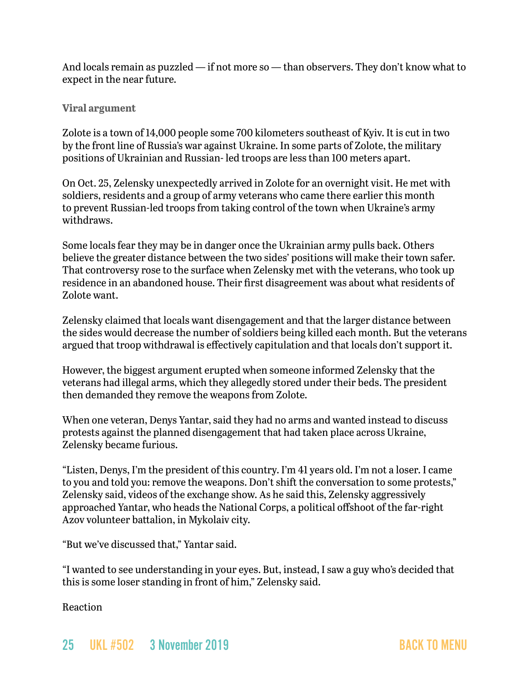And locals remain as puzzled — if not more so — than observers. They don't know what to expect in the near future.

### **Viral argument**

Zolote is a town of 14,000 people some 700 kilometers southeast of Kyiv. It is cut in two by the front line of Russia's war against Ukraine. In some parts of Zolote, the military positions of Ukrainian and Russian- led troops are less than 100 meters apart.

On Oct. 25, Zelensky unexpectedly arrived in Zolote for an overnight visit. He met with soldiers, residents and a group of army veterans who came there earlier this month to prevent Russian-led troops from taking control of the town when Ukraine's army withdraws.

Some locals fear they may be in danger once the Ukrainian army pulls back. Others believe the greater distance between the two sides' positions will make their town safer. That controversy rose to the surface when Zelensky met with the veterans, who took up residence in an abandoned house. Their first disagreement was about what residents of Zolote want.

Zelensky claimed that locals want disengagement and that the larger distance between the sides would decrease the number of soldiers being killed each month. But the veterans argued that troop withdrawal is effectively capitulation and that locals don't support it.

However, the biggest argument erupted when someone informed Zelensky that the veterans had illegal arms, which they allegedly stored under their beds. The president then demanded they remove the weapons from Zolote.

When one veteran, Denys Yantar, said they had no arms and wanted instead to discuss protests against the planned disengagement that had taken place across Ukraine, Zelensky became furious.

"Listen, Denys, I'm the president of this country. I'm 41 years old. I'm not a loser. I came to you and told you: remove the weapons. Don't shift the conversation to some protests," Zelensky said, videos of the exchange show. As he said this, Zelensky aggressively approached Yantar, who heads the National Corps, a political offshoot of the far-right Azov volunteer battalion, in Mykolaiv city.

"But we've discussed that," Yantar said.

"I wanted to see understanding in your eyes. But, instead, I saw a guy who's decided that this is some loser standing in front of him," Zelensky said.

Reaction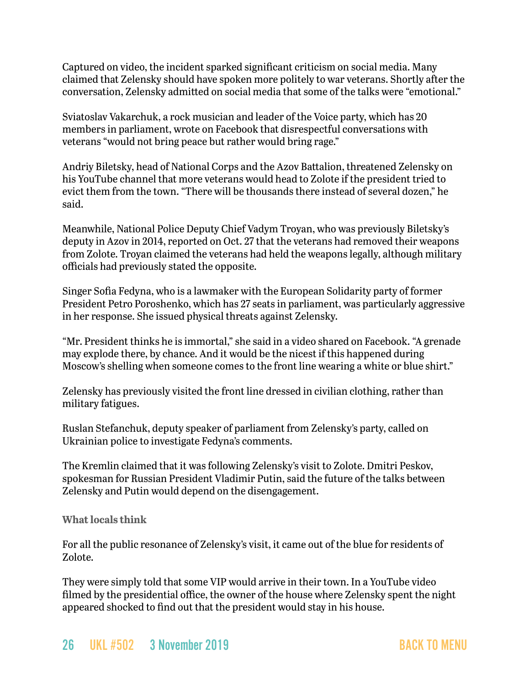Captured on video, the incident sparked significant criticism on social media. Many claimed that Zelensky should have spoken more politely to war veterans. Shortly after the conversation, Zelensky admitted on social media that some of the talks were "emotional."

Sviatoslav Vakarchuk, a rock musician and leader of the Voice party, which has 20 members in parliament, wrote on Facebook that disrespectful conversations with veterans "would not bring peace but rather would bring rage."

Andriy Biletsky, head of National Corps and the Azov Battalion, threatened Zelensky on his YouTube channel that more veterans would head to Zolote if the president tried to evict them from the town. "There will be thousands there instead of several dozen," he said.

Meanwhile, National Police Deputy Chief Vadym Troyan, who was previously Biletsky's deputy in Azov in 2014, reported on Oct. 27 that the veterans had removed their weapons from Zolote. Troyan claimed the veterans had held the weapons legally, although military officials had previously stated the opposite.

Singer Sofia Fedyna, who is a lawmaker with the European Solidarity party of former President Petro Poroshenko, which has 27 seats in parliament, was particularly aggressive in her response. She issued physical threats against Zelensky.

"Mr. President thinks he is immortal," she said in a video shared on Facebook. "A grenade may explode there, by chance. And it would be the nicest if this happened during Moscow's shelling when someone comes to the front line wearing a white or blue shirt."

Zelensky has previously visited the front line dressed in civilian clothing, rather than military fatigues.

Ruslan Stefanchuk, deputy speaker of parliament from Zelensky's party, called on Ukrainian police to investigate Fedyna's comments.

The Kremlin claimed that it was following Zelensky's visit to Zolote. Dmitri Peskov, spokesman for Russian President Vladimir Putin, said the future of the talks between Zelensky and Putin would depend on the disengagement.

**What locals think**

For all the public resonance of Zelensky's visit, it came out of the blue for residents of Zolote.

They were simply told that some VIP would arrive in their town. In a YouTube video filmed by the presidential office, the owner of the house where Zelensky spent the night appeared shocked to find out that the president would stay in his house.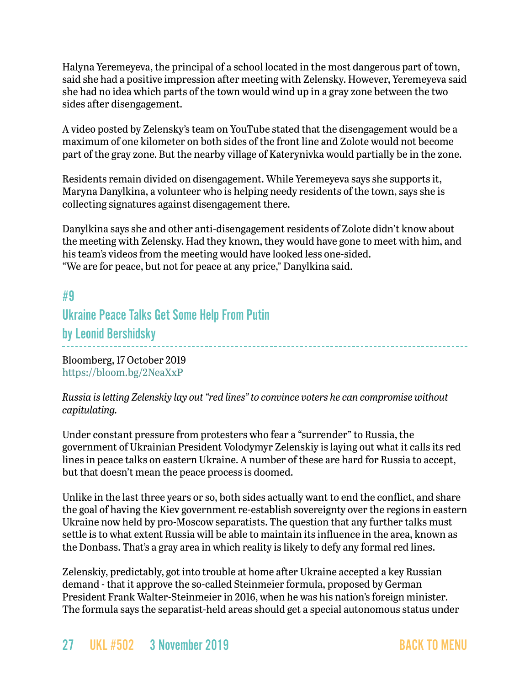Halyna Yeremeyeva, the principal of a school located in the most dangerous part of town, said she had a positive impression after meeting with Zelensky. However, Yeremeyeva said she had no idea which parts of the town would wind up in a gray zone between the two sides after disengagement.

A video posted by Zelensky's team on YouTube stated that the disengagement would be a maximum of one kilometer on both sides of the front line and Zolote would not become part of the gray zone. But the nearby village of Katerynivka would partially be in the zone.

Residents remain divided on disengagement. While Yeremeyeva says she supports it, Maryna Danylkina, a volunteer who is helping needy residents of the town, says she is collecting signatures against disengagement there.

Danylkina says she and other anti-disengagement residents of Zolote didn't know about the meeting with Zelensky. Had they known, they would have gone to meet with him, and his team's videos from the meeting would have looked less one-sided. "We are for peace, but not for peace at any price," Danylkina said.

## <span id="page-26-0"></span>#9

## Ukraine Peace Talks Get Some Help From Putin

by Leonid Bershidsky

Bloomberg, 17 October 2019 <https://bloom.bg/2NeaXxP>

*Russia is letting Zelenskiy lay out "red lines" to convince voters he can compromise without capitulating.*

Under constant pressure from protesters who fear a "surrender" to Russia, the government of Ukrainian President Volodymyr Zelenskiy is laying out what it calls its red lines in peace talks on eastern Ukraine. A number of these are hard for Russia to accept, but that doesn't mean the peace process is doomed.

Unlike in the last three years or so, both sides actually want to end the conflict, and share the goal of having the Kiev government re-establish sovereignty over the regions in eastern Ukraine now held by pro-Moscow separatists. The question that any further talks must settle is to what extent Russia will be able to maintain its influence in the area, known as the Donbass. That's a gray area in which reality is likely to defy any formal red lines.

Zelenskiy, predictably, got into trouble at home after Ukraine accepted a key Russian demand - that it approve the so-called Steinmeier formula, proposed by German President Frank Walter-Steinmeier in 2016, when he was his nation's foreign minister. The formula says the separatist-held areas should get a special autonomous status under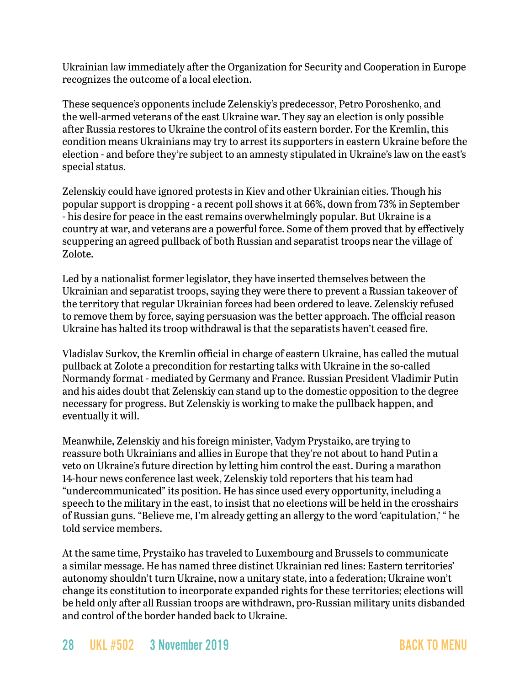Ukrainian law immediately after the Organization for Security and Cooperation in Europe recognizes the outcome of a local election.

These sequence's opponents include Zelenskiy's predecessor, Petro Poroshenko, and the well-armed veterans of the east Ukraine war. They say an election is only possible after Russia restores to Ukraine the control of its eastern border. For the Kremlin, this condition means Ukrainians may try to arrest its supporters in eastern Ukraine before the election - and before they're subject to an amnesty stipulated in Ukraine's law on the east's special status.

Zelenskiy could have ignored protests in Kiev and other Ukrainian cities. Though his popular support is dropping - a recent poll shows it at 66%, down from 73% in September - his desire for peace in the east remains overwhelmingly popular. But Ukraine is a country at war, and veterans are a powerful force. Some of them proved that by effectively scuppering an agreed pullback of both Russian and separatist troops near the village of Zolote.

Led by a nationalist former legislator, they have inserted themselves between the Ukrainian and separatist troops, saying they were there to prevent a Russian takeover of the territory that regular Ukrainian forces had been ordered to leave. Zelenskiy refused to remove them by force, saying persuasion was the better approach. The official reason Ukraine has halted its troop withdrawal is that the separatists haven't ceased fire.

Vladislav Surkov, the Kremlin official in charge of eastern Ukraine, has called the mutual pullback at Zolote a precondition for restarting talks with Ukraine in the so-called Normandy format - mediated by Germany and France. Russian President Vladimir Putin and his aides doubt that Zelenskiy can stand up to the domestic opposition to the degree necessary for progress. But Zelenskiy is working to make the pullback happen, and eventually it will.

Meanwhile, Zelenskiy and his foreign minister, Vadym Prystaiko, are trying to reassure both Ukrainians and allies in Europe that they're not about to hand Putin a veto on Ukraine's future direction by letting him control the east. During a marathon 14-hour news conference last week, Zelenskiy told reporters that his team had "undercommunicated" its position. He has since used every opportunity, including a speech to the military in the east, to insist that no elections will be held in the crosshairs of Russian guns. "Believe me, I'm already getting an allergy to the word 'capitulation,' " he told service members.

At the same time, Prystaiko has traveled to Luxembourg and Brussels to communicate a similar message. He has named three distinct Ukrainian red lines: Eastern territories' autonomy shouldn't turn Ukraine, now a unitary state, into a federation; Ukraine won't change its constitution to incorporate expanded rights for these territories; elections will be held only after all Russian troops are withdrawn, pro-Russian military units disbanded and control of the border handed back to Ukraine.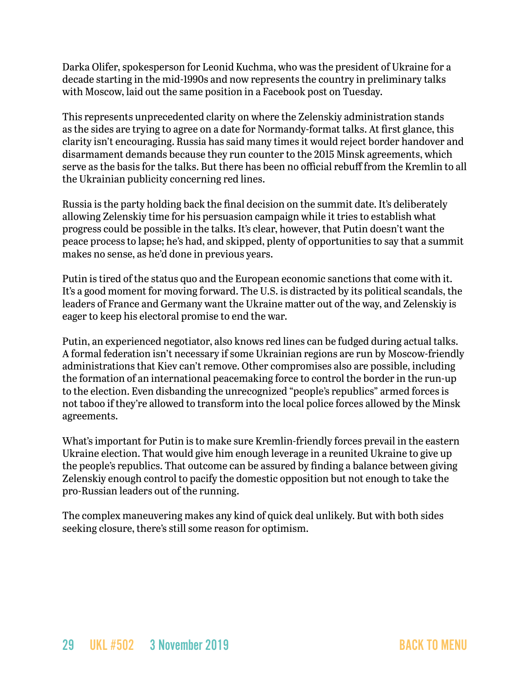Darka Olifer, spokesperson for Leonid Kuchma, who was the president of Ukraine for a decade starting in the mid-1990s and now represents the country in preliminary talks with Moscow, laid out the same position in a Facebook post on Tuesday.

This represents unprecedented clarity on where the Zelenskiy administration stands as the sides are trying to agree on a date for Normandy-format talks. At first glance, this clarity isn't encouraging. Russia has said many times it would reject border handover and disarmament demands because they run counter to the 2015 Minsk agreements, which serve as the basis for the talks. But there has been no official rebuff from the Kremlin to all the Ukrainian publicity concerning red lines.

Russia is the party holding back the final decision on the summit date. It's deliberately allowing Zelenskiy time for his persuasion campaign while it tries to establish what progress could be possible in the talks. It's clear, however, that Putin doesn't want the peace process to lapse; he's had, and skipped, plenty of opportunities to say that a summit makes no sense, as he'd done in previous years.

Putin is tired of the status quo and the European economic sanctions that come with it. It's a good moment for moving forward. The U.S. is distracted by its political scandals, the leaders of France and Germany want the Ukraine matter out of the way, and Zelenskiy is eager to keep his electoral promise to end the war.

Putin, an experienced negotiator, also knows red lines can be fudged during actual talks. A formal federation isn't necessary if some Ukrainian regions are run by Moscow-friendly administrations that Kiev can't remove. Other compromises also are possible, including the formation of an international peacemaking force to control the border in the run-up to the election. Even disbanding the unrecognized "people's republics" armed forces is not taboo if they're allowed to transform into the local police forces allowed by the Minsk agreements.

What's important for Putin is to make sure Kremlin-friendly forces prevail in the eastern Ukraine election. That would give him enough leverage in a reunited Ukraine to give up the people's republics. That outcome can be assured by finding a balance between giving Zelenskiy enough control to pacify the domestic opposition but not enough to take the pro-Russian leaders out of the running.

The complex maneuvering makes any kind of quick deal unlikely. But with both sides seeking closure, there's still some reason for optimism.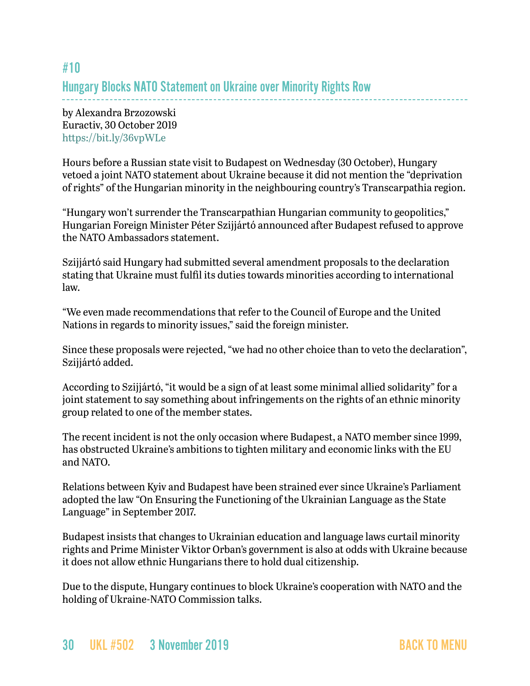# <span id="page-29-0"></span>#10 Hungary Blocks NATO Statement on Ukraine over Minority Rights Row

by Alexandra Brzozowski Euractiv, 30 October 2019 <https://bit.ly/36vpWLe>

Hours before a Russian state visit to Budapest on Wednesday (30 October), Hungary vetoed a joint NATO statement about Ukraine because it did not mention the "deprivation of rights" of the Hungarian minority in the neighbouring country's Transcarpathia region.

"Hungary won't surrender the Transcarpathian Hungarian community to geopolitics," Hungarian Foreign Minister Péter Szijjártó announced after Budapest refused to approve the NATO Ambassadors statement.

Szijjártó said Hungary had submitted several amendment proposals to the declaration stating that Ukraine must fulfil its duties towards minorities according to international law.

"We even made recommendations that refer to the Council of Europe and the United Nations in regards to minority issues," said the foreign minister.

Since these proposals were rejected, "we had no other choice than to veto the declaration", Szijjártó added.

According to Szijjártó, "it would be a sign of at least some minimal allied solidarity" for a joint statement to say something about infringements on the rights of an ethnic minority group related to one of the member states.

The recent incident is not the only occasion where Budapest, a NATO member since 1999, has obstructed Ukraine's ambitions to tighten military and economic links with the EU and NATO.

Relations between Kyiv and Budapest have been strained ever since Ukraine's Parliament adopted the law "On Ensuring the Functioning of the Ukrainian Language as the State Language" in September 2017.

Budapest insists that changes to Ukrainian education and language laws curtail minority rights and Prime Minister Viktor Orban's government is also at odds with Ukraine because it does not allow ethnic Hungarians there to hold dual citizenship.

Due to the dispute, Hungary continues to block Ukraine's cooperation with NATO and the holding of Ukraine-NATO Commission talks.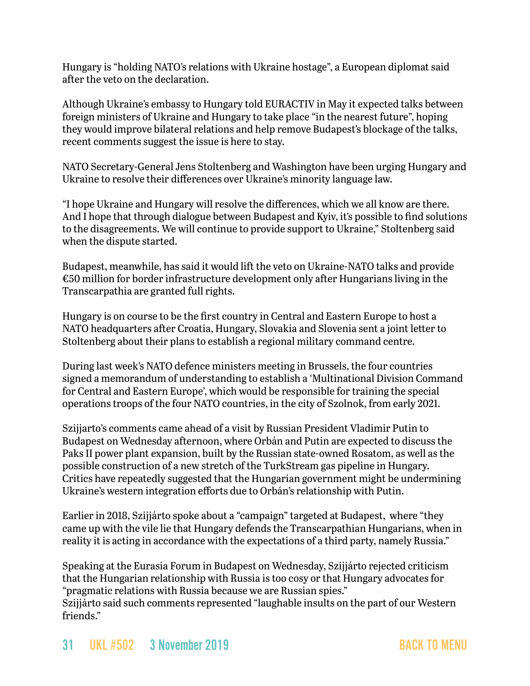Hungary is "holding NATO's relations with Ukraine hostage", a European diplomat said after the veto on the declaration.

Although Ukraine's embassy to Hungary told EURACTIV in May it expected talks between foreign ministers of Ukraine and Hungary to take place "in the nearest future", hoping they would improve bilateral relations and help remove Budapest's blockage of the talks, recent comments suggest the issue is here to stay.

NATO Secretary-General Jens Stoltenberg and Washington have been urging Hungary and Ukraine to resolve their differences over Ukraine's minority language law.

"I hope Ukraine and Hungary will resolve the differences, which we all know are there. And I hope that through dialogue between Budapest and Kyiv, it's possible to find solutions to the disagreements. We will continue to provide support to Ukraine," Stoltenberg said when the dispute started.

Budapest, meanwhile, has said it would lift the veto on Ukraine-NATO talks and provide €50 million for border infrastructure development only after Hungarians living in the Transcarpathia are granted full rights.

Hungary is on course to be the first country in Central and Eastern Europe to host a NATO headquarters after Croatia, Hungary, Slovakia and Slovenia sent a joint letter to Stoltenberg about their plans to establish a regional military command centre.

During last week's NATO defence ministers meeting in Brussels, the four countries signed a memorandum of understanding to establish a 'Multinational Division Command for Central and Eastern Europe', which would be responsible for training the special operations troops of the four NATO countries, in the city of Szolnok, from early 2021.

Szijjarto's comments came ahead of a visit by Russian President Vladimir Putin to Budapest on Wednesday afternoon, where Orbán and Putin are expected to discuss the Paks II power plant expansion, built by the Russian state-owned Rosatom, as well as the possible construction of a new stretch of the TurkStream gas pipeline in Hungary. Critics have repeatedly suggested that the Hungarian government might be undermining Ukraine's western integration efforts due to Orbán's relationship with Putin.

Earlier in 2018, Szijjárto spoke about a "campaign" targeted at Budapest, where "they came up with the vile lie that Hungary defends the Transcarpathian Hungarians, when in reality it is acting in accordance with the expectations of a third party, namely Russia."

Speaking at the Eurasia Forum in Budapest on Wednesday, Szijjárto rejected criticism that the Hungarian relationship with Russia is too cosy or that Hungary advocates for "pragmatic relations with Russia because we are Russian spies."

Szijjárto said such comments represented "laughable insults on the part of our Western friends."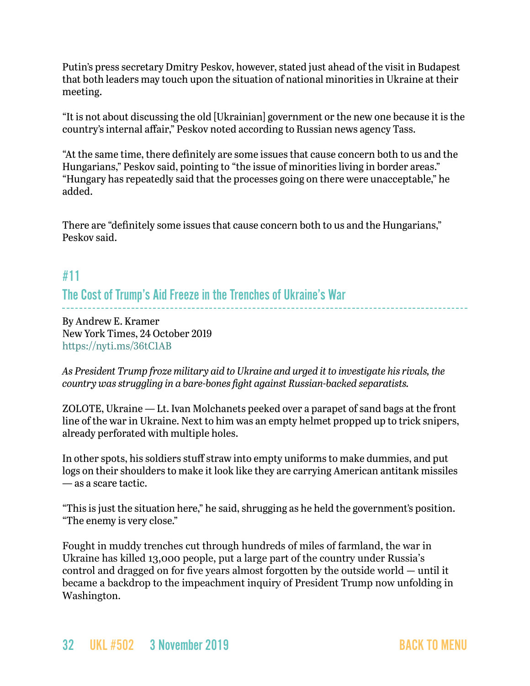Putin's press secretary Dmitry Peskov, however, stated just ahead of the visit in Budapest that both leaders may touch upon the situation of national minorities in Ukraine at their meeting.

"It is not about discussing the old [Ukrainian] government or the new one because it is the country's internal affair," Peskov noted according to Russian news agency Tass.

"At the same time, there definitely are some issues that cause concern both to us and the Hungarians," Peskov said, pointing to "the issue of minorities living in border areas." "Hungary has repeatedly said that the processes going on there were unacceptable," he added.

There are "definitely some issues that cause concern both to us and the Hungarians," Peskov said.

# #11

The Cost of Trump's Aid Freeze in the Trenches of Ukraine's War

By Andrew E. Kramer New York Times, 24 October 2019 <https://nyti.ms/36tC1AB>

*As President Trump froze military aid to Ukraine and urged it to investigate his rivals, the country was struggling in a bare-bones fight against Russian-backed separatists.*

ZOLOTE, Ukraine — Lt. Ivan Molchanets peeked over a parapet of sand bags at the front line of the war in Ukraine. Next to him was an empty helmet propped up to trick snipers, already perforated with multiple holes.

In other spots, his soldiers stuff straw into empty uniforms to make dummies, and put logs on their shoulders to make it look like they are carrying American antitank missiles — as a scare tactic.

"This is just the situation here," he said, shrugging as he held the government's position. "The enemy is very close."

Fought in muddy trenches cut through hundreds of miles of farmland, the war in Ukraine has killed 13,000 people, put a large part of the country under Russia's control and dragged on for five years almost forgotten by the outside world — until it became a backdrop to the impeachment inquiry of President Trump now unfolding in Washington.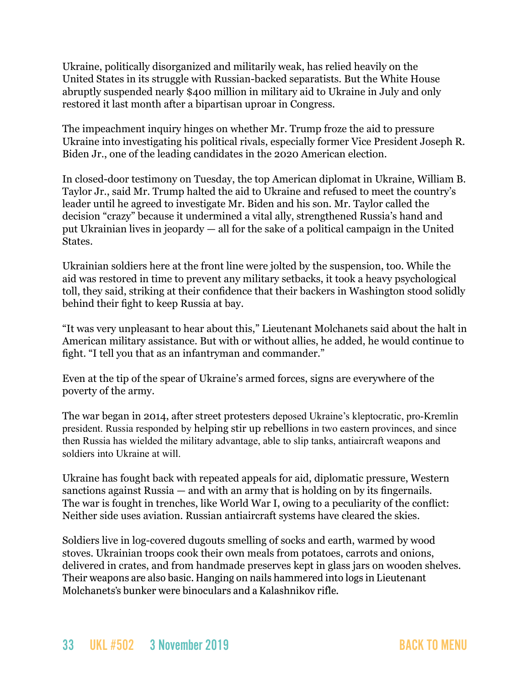Ukraine, politically disorganized and militarily weak, has relied heavily on the United States in its struggle with Russian-backed separatists. But the White House abruptly suspended nearly \$400 million in military aid to Ukraine in July and only restored it last month after a bipartisan uproar in Congress.

The impeachment inquiry hinges on whether Mr. Trump froze the aid to pressure Ukraine into investigating his political rivals, especially former Vice President Joseph R. Biden Jr., one of the leading candidates in the 2020 American election.

In closed-door testimony on Tuesday, the top American diplomat in Ukraine, William B. Taylor Jr., said Mr. Trump halted the aid to Ukraine and refused to meet the country's leader until he agreed to investigate Mr. Biden and his son. Mr. Taylor called the decision "crazy" because it undermined a vital ally, strengthened Russia's hand and put Ukrainian lives in jeopardy — all for the sake of a political campaign in the United States.

Ukrainian soldiers here at the front line were jolted by the suspension, too. While the aid was restored in time to prevent any military setbacks, it took a heavy psychological toll, they said, striking at their confidence that their backers in Washington stood solidly behind their fight to keep Russia at bay.

"It was very unpleasant to hear about this," Lieutenant Molchanets said about the halt in American military assistance. But with or without allies, he added, he would continue to fight. "I tell you that as an infantryman and commander."

Even at the tip of the spear of Ukraine's armed forces, signs are everywhere of the poverty of the army.

The war began in 2014, after [street protesters](https://www.nytimes.com/2015/01/04/world/europe/ukraine-leader-was-defeated-even-before-he-was-ousted.html?module=inline) deposed Ukraine's kleptocratic, pro-Kremlin president. Russia responded by [helping stir up rebellions](https://www.nytimes.com/2014/09/07/world/europe/evidence-grows-of-russian-orthodox-clergys-aiding-ukraine-rebels.html?module=inline) in two eastern provinces, and since then Russia has wielded the military advantage, able to slip tanks, antiaircraft weapons and soldiers into Ukraine at will.

Ukraine has fought back with repeated appeals for aid, diplomatic pressure, Western sanctions against Russia  $-$  and with an army that is holding on by its fingernails. The war is fought in trenches, like World War I, owing to a peculiarity of the conflict: Neither side uses aviation. Russian antiaircraft systems have cleared the skies.

Soldiers live in log-covered dugouts smelling of socks and earth, warmed by wood stoves. Ukrainian troops cook their own meals from potatoes, carrots and onions, delivered in crates, and from handmade preserves kept in glass jars on wooden shelves. Their weapons are also basic. Hanging on nails hammered into logs in Lieutenant Molchanets's bunker were binoculars and a Kalashnikov rifle.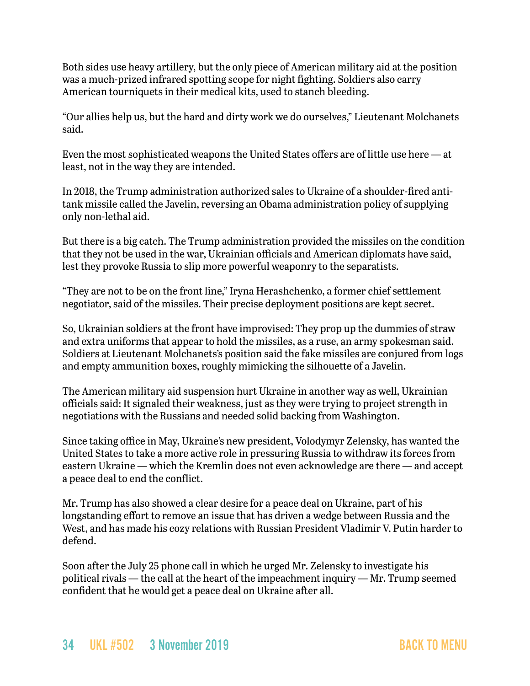Both sides use heavy artillery, but the only piece of American military aid at the position was a much-prized infrared spotting scope for night fighting. Soldiers also carry American tourniquets in their medical kits, used to stanch bleeding.

"Our allies help us, but the hard and dirty work we do ourselves," Lieutenant Molchanets said.

Even the most sophisticated weapons the United States offers are of little use here — at least, not in the way they are intended.

In 2018, the Trump administration authorized sales to Ukraine of a shoulder-fired antitank missile called the Javelin, reversing an Obama administration policy of supplying only non-lethal aid.

But there is a big catch. The Trump administration provided the missiles on the condition that they not be used in the war, Ukrainian officials and American diplomats have said, lest they provoke Russia to slip more powerful weaponry to the separatists.

"They are not to be on the front line," Iryna Herashchenko, a former chief settlement negotiator, said of the missiles. Their precise deployment positions are kept secret.

So, Ukrainian soldiers at the front have improvised: They prop up the dummies of straw and extra uniforms that appear to hold the missiles, as a ruse, an army spokesman said. Soldiers at Lieutenant Molchanets's position said the fake missiles are conjured from logs and empty ammunition boxes, roughly mimicking the silhouette of a Javelin.

The American military aid suspension hurt Ukraine in another way as well, Ukrainian officials said: It signaled their weakness, just as they were trying to project strength in negotiations with the Russians and needed solid backing from Washington.

Since taking office in May, Ukraine's new president, Volodymyr Zelensky, has wanted the United States to take a more active role in pressuring Russia to withdraw its forces from eastern Ukraine — which the Kremlin does not even acknowledge are there — and accept a peace deal to end the conflict.

Mr. Trump has also showed a clear desire for a peace deal on Ukraine, part of his longstanding effort to remove an issue that has driven a wedge between Russia and the West, and has made his cozy relations with Russian President Vladimir V. Putin harder to defend.

Soon after the July 25 phone call in which he urged Mr. Zelensky to investigate his political rivals — the call at the heart of the impeachment inquiry — Mr. Trump seemed confident that he would get a peace deal on Ukraine after all.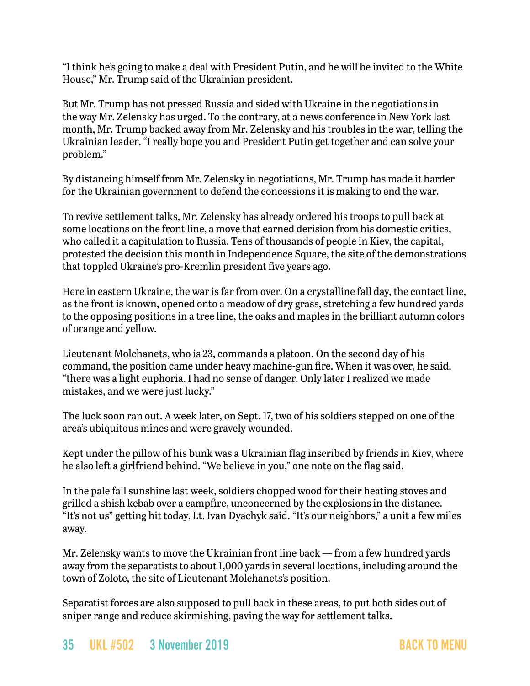"I think he's going to make a deal with President Putin, and he will be invited to the White House," Mr. Trump said of the Ukrainian president.

But Mr. Trump has not pressed Russia and sided with Ukraine in the negotiations in the way Mr. Zelensky has urged. To the contrary, at a news conference in New York last month, Mr. Trump backed away from Mr. Zelensky and his troubles in the war, telling the Ukrainian leader, "I really hope you and President Putin get together and can solve your problem."

By distancing himself from Mr. Zelensky in negotiations, Mr. Trump has made it harder for the Ukrainian government to defend the concessions it is making to end the war.

To revive settlement talks, Mr. Zelensky has already ordered his troops to pull back at some locations on the front line, a move that earned derision from his domestic critics, who called it a capitulation to Russia. Tens of thousands of people in Kiev, the capital, protested the decision this month in Independence Square, the site of the demonstrations that toppled Ukraine's pro-Kremlin president five years ago.

Here in eastern Ukraine, the war is far from over. On a crystalline fall day, the contact line, as the front is known, opened onto a meadow of dry grass, stretching a few hundred yards to the opposing positions in a tree line, the oaks and maples in the brilliant autumn colors of orange and yellow.

Lieutenant Molchanets, who is 23, commands a platoon. On the second day of his command, the position came under heavy machine-gun fire. When it was over, he said, "there was a light euphoria. I had no sense of danger. Only later I realized we made mistakes, and we were just lucky."

The luck soon ran out. A week later, on Sept. 17, two of his soldiers stepped on one of the area's ubiquitous mines and were gravely wounded.

Kept under the pillow of his bunk was a Ukrainian flag inscribed by friends in Kiev, where he also left a girlfriend behind. "We believe in you," one note on the flag said.

In the pale fall sunshine last week, soldiers chopped wood for their heating stoves and grilled a shish kebab over a campfire, unconcerned by the explosions in the distance. "It's not us" getting hit today, Lt. Ivan Dyachyk said. "It's our neighbors," a unit a few miles away.

Mr. Zelensky wants to move the Ukrainian front line back — from a few hundred yards away from the separatists to about 1,000 yards in several locations, including around the town of Zolote, the site of Lieutenant Molchanets's position.

Separatist forces are also supposed to pull back in these areas, to put both sides out of sniper range and reduce skirmishing, paving the way for settlement talks.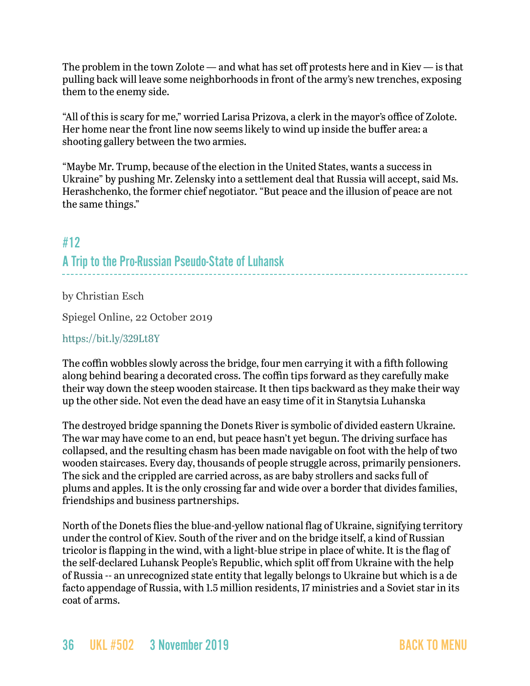The problem in the town Zolote — and what has set off protests here and in Kiev — is that pulling back will leave some neighborhoods in front of the army's new trenches, exposing them to the enemy side.

"All of this is scary for me," worried Larisa Prizova, a clerk in the mayor's office of Zolote. Her home near the front line now seems likely to wind up inside the buffer area: a shooting gallery between the two armies.

"Maybe Mr. Trump, because of the election in the United States, wants a success in Ukraine" by pushing Mr. Zelensky into a settlement deal that Russia will accept, said Ms. Herashchenko, the former chief negotiator. "But peace and the illusion of peace are not the same things."

# <span id="page-35-0"></span>#12 A Trip to the Pro-Russian Pseudo-State of Luhansk

by Christian Esch

Spiegel Online, 22 October 2019

## <https://bit.ly/329Lt8Y>

The coffin wobbles slowly across the bridge, four men carrying it with a fifth following along behind bearing a decorated cross. The coffin tips forward as they carefully make their way down the steep wooden staircase. It then tips backward as they make their way up the other side. Not even the dead have an easy time of it in Stanytsia Luhanska

The destroyed bridge spanning the Donets River is symbolic of divided eastern Ukraine. The war may have come to an end, but peace hasn't yet begun. The driving surface has collapsed, and the resulting chasm has been made navigable on foot with the help of two wooden staircases. Every day, thousands of people struggle across, primarily pensioners. The sick and the crippled are carried across, as are baby strollers and sacks full of plums and apples. It is the only crossing far and wide over a border that divides families, friendships and business partnerships.

North of the Donets flies the blue-and-yellow national flag of Ukraine, signifying territory under the control of Kiev. South of the river and on the bridge itself, a kind of Russian tricolor is flapping in the wind, with a light-blue stripe in place of white. It is the flag of the self-declared Luhansk People's Republic, which split off from Ukraine with the help of Russia -- an unrecognized state entity that legally belongs to Ukraine but which is a de facto appendage of Russia, with 1.5 million residents, 17 ministries and a Soviet star in its coat of arms.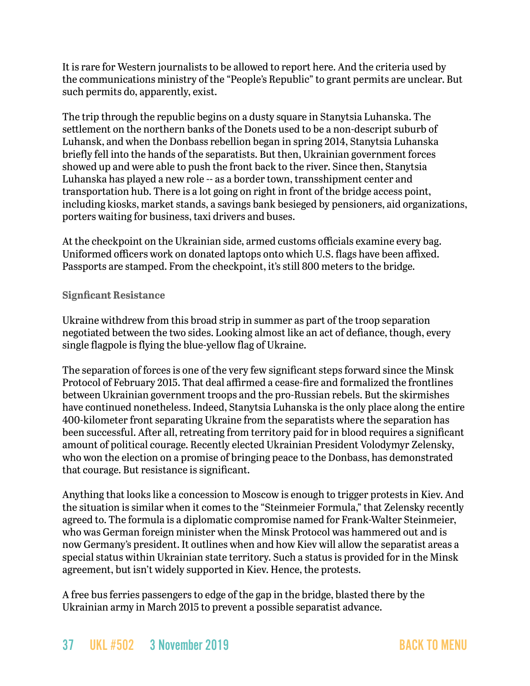It is rare for Western journalists to be allowed to report here. And the criteria used by the communications ministry of the "People's Republic" to grant permits are unclear. But such permits do, apparently, exist.

The trip through the republic begins on a dusty square in Stanytsia Luhanska. The settlement on the northern banks of the Donets used to be a non-descript suburb of Luhansk, and when the Donbass rebellion began in spring 2014, Stanytsia Luhanska briefly fell into the hands of the separatists. But then, Ukrainian government forces showed up and were able to push the front back to the river. Since then, Stanytsia Luhanska has played a new role -- as a border town, transshipment center and transportation hub. There is a lot going on right in front of the bridge access point, including kiosks, market stands, a savings bank besieged by pensioners, aid organizations, porters waiting for business, taxi drivers and buses.

At the checkpoint on the Ukrainian side, armed customs officials examine every bag. Uniformed officers work on donated laptops onto which U.S. flags have been affixed. Passports are stamped. From the checkpoint, it's still 800 meters to the bridge.

## **Signficant Resistance**

Ukraine withdrew from this broad strip in summer as part of the troop separation negotiated between the two sides. Looking almost like an act of defiance, though, every single flagpole is flying the blue-yellow flag of Ukraine.

The separation of forces is one of the very few significant steps forward since the Minsk Protocol of February 2015. That deal affirmed a cease-fire and formalized the frontlines between Ukrainian government troops and the pro-Russian rebels. But the skirmishes have continued nonetheless. Indeed, Stanytsia Luhanska is the only place along the entire 400-kilometer front separating Ukraine from the separatists where the separation has been successful. After all, retreating from territory paid for in blood requires a significant amount of political courage. Recently elected Ukrainian President Volodymyr Zelensky, who won the election on a promise of bringing peace to the Donbass, has demonstrated that courage. But resistance is significant.

Anything that looks like a concession to Moscow is enough to trigger protests in Kiev. And the situation is similar when it comes to the "Steinmeier Formula," that Zelensky recently agreed to. The formula is a diplomatic compromise named for Frank-Walter Steinmeier, who was German foreign minister when the Minsk Protocol was hammered out and is now Germany's president. It outlines when and how Kiev will allow the separatist areas a special status within Ukrainian state territory. Such a status is provided for in the Minsk agreement, but isn't widely supported in Kiev. Hence, the protests.

A free bus ferries passengers to edge of the gap in the bridge, blasted there by the Ukrainian army in March 2015 to prevent a possible separatist advance.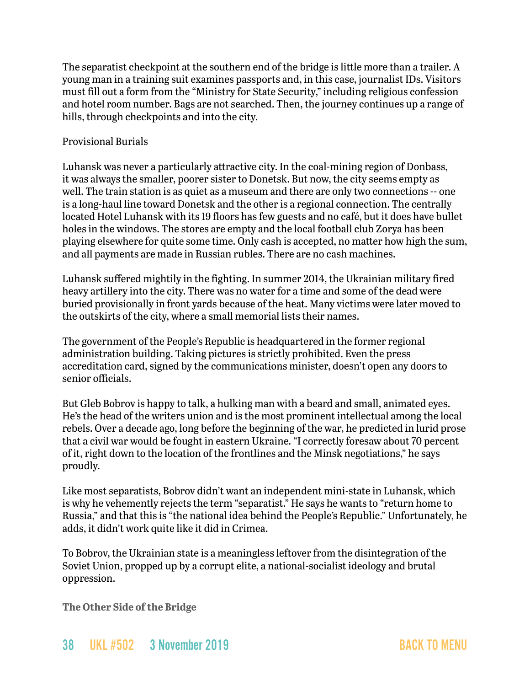The separatist checkpoint at the southern end of the bridge is little more than a trailer. A young man in a training suit examines passports and, in this case, journalist IDs. Visitors must fill out a form from the "Ministry for State Security," including religious confession and hotel room number. Bags are not searched. Then, the journey continues up a range of hills, through checkpoints and into the city.

## Provisional Burials

Luhansk was never a particularly attractive city. In the coal-mining region of Donbass, it was always the smaller, poorer sister to Donetsk. But now, the city seems empty as well. The train station is as quiet as a museum and there are only two connections -- one is a long-haul line toward Donetsk and the other is a regional connection. The centrally located Hotel Luhansk with its 19 floors has few guests and no café, but it does have bullet holes in the windows. The stores are empty and the local football club Zorya has been playing elsewhere for quite some time. Only cash is accepted, no matter how high the sum, and all payments are made in Russian rubles. There are no cash machines.

Luhansk suffered mightily in the fighting. In summer 2014, the Ukrainian military fired heavy artillery into the city. There was no water for a time and some of the dead were buried provisionally in front yards because of the heat. Many victims were later moved to the outskirts of the city, where a small memorial lists their names.

The government of the People's Republic is headquartered in the former regional administration building. Taking pictures is strictly prohibited. Even the press accreditation card, signed by the communications minister, doesn't open any doors to senior officials.

But Gleb Bobrov is happy to talk, a hulking man with a beard and small, animated eyes. He's the head of the writers union and is the most prominent intellectual among the local rebels. Over a decade ago, long before the beginning of the war, he predicted in lurid prose that a civil war would be fought in eastern Ukraine. "I correctly foresaw about 70 percent of it, right down to the location of the frontlines and the Minsk negotiations," he says proudly.

Like most separatists, Bobrov didn't want an independent mini-state in Luhansk, which is why he vehemently rejects the term "separatist." He says he wants to "return home to Russia," and that this is "the national idea behind the People's Republic." Unfortunately, he adds, it didn't work quite like it did in Crimea.

To Bobrov, the Ukrainian state is a meaningless leftover from the disintegration of the Soviet Union, propped up by a corrupt elite, a national-socialist ideology and brutal oppression.

**The Other Side of the Bridge**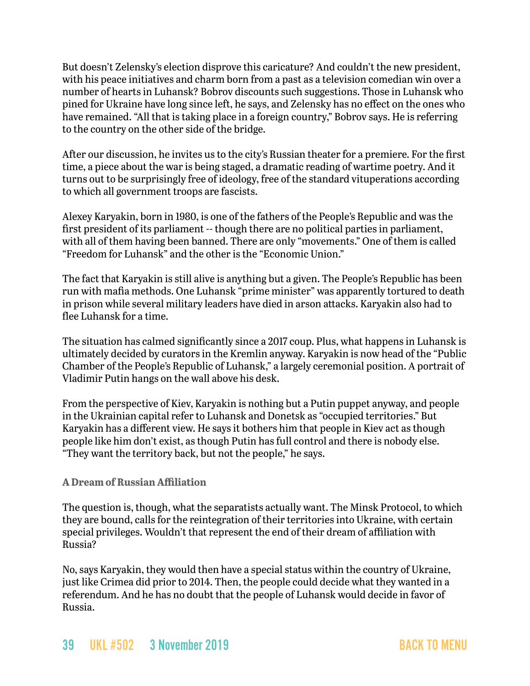But doesn't Zelensky's election disprove this caricature? And couldn't the new president, with his peace initiatives and charm born from a past as a television comedian win over a number of hearts in Luhansk? Bobrov discounts such suggestions. Those in Luhansk who pined for Ukraine have long since left, he says, and Zelensky has no effect on the ones who have remained. "All that is taking place in a foreign country," Bobrov says. He is referring to the country on the other side of the bridge.

After our discussion, he invites us to the city's Russian theater for a premiere. For the first time, a piece about the war is being staged, a dramatic reading of wartime poetry. And it turns out to be surprisingly free of ideology, free of the standard vituperations according to which all government troops are fascists.

Alexey Karyakin, born in 1980, is one of the fathers of the People's Republic and was the first president of its parliament -- though there are no political parties in parliament, with all of them having been banned. There are only "movements." One of them is called "Freedom for Luhansk" and the other is the "Economic Union."

The fact that Karyakin is still alive is anything but a given. The People's Republic has been run with mafia methods. One Luhansk "prime minister" was apparently tortured to death in prison while several military leaders have died in arson attacks. Karyakin also had to flee Luhansk for a time.

The situation has calmed significantly since a 2017 coup. Plus, what happens in Luhansk is ultimately decided by curators in the Kremlin anyway. Karyakin is now head of the "Public Chamber of the People's Republic of Luhansk," a largely ceremonial position. A portrait of Vladimir Putin hangs on the wall above his desk.

From the perspective of Kiev, Karyakin is nothing but a Putin puppet anyway, and people in the Ukrainian capital refer to Luhansk and Donetsk as "occupied territories." But Karyakin has a different view. He says it bothers him that people in Kiev act as though people like him don't exist, as though Putin has full control and there is nobody else. "They want the territory back, but not the people," he says.

### **A Dream of Russian Affiliation**

The question is, though, what the separatists actually want. The Minsk Protocol, to which they are bound, calls for the reintegration of their territories into Ukraine, with certain special privileges. Wouldn't that represent the end of their dream of affiliation with Russia?

No, says Karyakin, they would then have a special status within the country of Ukraine, just like Crimea did prior to 2014. Then, the people could decide what they wanted in a referendum. And he has no doubt that the people of Luhansk would decide in favor of Russia.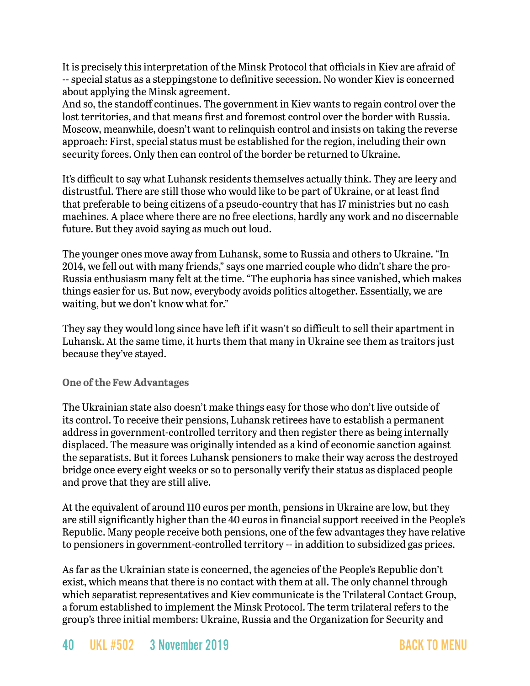It is precisely this interpretation of the Minsk Protocol that officials in Kiev are afraid of -- special status as a steppingstone to definitive secession. No wonder Kiev is concerned about applying the Minsk agreement.

And so, the standoff continues. The government in Kiev wants to regain control over the lost territories, and that means first and foremost control over the border with Russia. Moscow, meanwhile, doesn't want to relinquish control and insists on taking the reverse approach: First, special status must be established for the region, including their own security forces. Only then can control of the border be returned to Ukraine.

It's difficult to say what Luhansk residents themselves actually think. They are leery and distrustful. There are still those who would like to be part of Ukraine, or at least find that preferable to being citizens of a pseudo-country that has 17 ministries but no cash machines. A place where there are no free elections, hardly any work and no discernable future. But they avoid saying as much out loud.

The younger ones move away from Luhansk, some to Russia and others to Ukraine. "In 2014, we fell out with many friends," says one married couple who didn't share the pro-Russia enthusiasm many felt at the time. "The euphoria has since vanished, which makes things easier for us. But now, everybody avoids politics altogether. Essentially, we are waiting, but we don't know what for."

They say they would long since have left if it wasn't so difficult to sell their apartment in Luhansk. At the same time, it hurts them that many in Ukraine see them as traitors just because they've stayed.

### **One of the Few Advantages**

The Ukrainian state also doesn't make things easy for those who don't live outside of its control. To receive their pensions, Luhansk retirees have to establish a permanent address in government-controlled territory and then register there as being internally displaced. The measure was originally intended as a kind of economic sanction against the separatists. But it forces Luhansk pensioners to make their way across the destroyed bridge once every eight weeks or so to personally verify their status as displaced people and prove that they are still alive.

At the equivalent of around 110 euros per month, pensions in Ukraine are low, but they are still significantly higher than the 40 euros in financial support received in the People's Republic. Many people receive both pensions, one of the few advantages they have relative to pensioners in government-controlled territory -- in addition to subsidized gas prices.

As far as the Ukrainian state is concerned, the agencies of the People's Republic don't exist, which means that there is no contact with them at all. The only channel through which separatist representatives and Kiev communicate is the Trilateral Contact Group, a forum established to implement the Minsk Protocol. The term trilateral refers to the group's three initial members: Ukraine, Russia and the Organization for Security and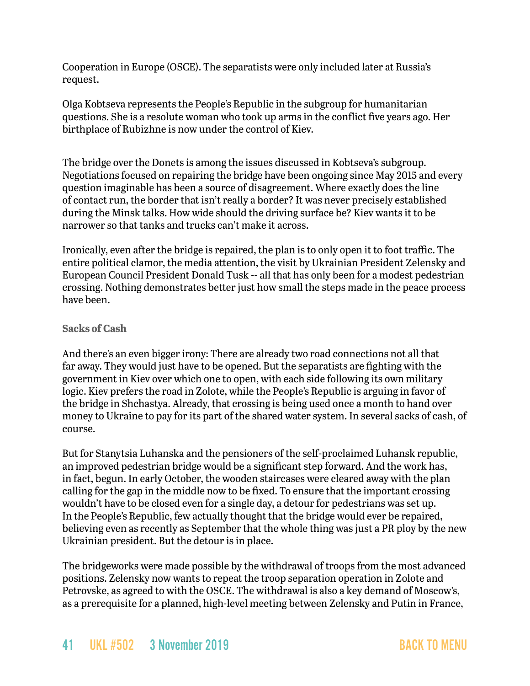Cooperation in Europe (OSCE). The separatists were only included later at Russia's request.

Olga Kobtseva represents the People's Republic in the subgroup for humanitarian questions. She is a resolute woman who took up arms in the conflict five years ago. Her birthplace of Rubizhne is now under the control of Kiev.

The bridge over the Donets is among the issues discussed in Kobtseva's subgroup. Negotiations focused on repairing the bridge have been ongoing since May 2015 and every question imaginable has been a source of disagreement. Where exactly does the line of contact run, the border that isn't really a border? It was never precisely established during the Minsk talks. How wide should the driving surface be? Kiev wants it to be narrower so that tanks and trucks can't make it across.

Ironically, even after the bridge is repaired, the plan is to only open it to foot traffic. The entire political clamor, the media attention, the visit by Ukrainian President Zelensky and European Council President Donald Tusk -- all that has only been for a modest pedestrian crossing. Nothing demonstrates better just how small the steps made in the peace process have been.

### **Sacks of Cash**

And there's an even bigger irony: There are already two road connections not all that far away. They would just have to be opened. But the separatists are fighting with the government in Kiev over which one to open, with each side following its own military logic. Kiev prefers the road in Zolote, while the People's Republic is arguing in favor of the bridge in Shchastya. Already, that crossing is being used once a month to hand over money to Ukraine to pay for its part of the shared water system. In several sacks of cash, of course.

But for Stanytsia Luhanska and the pensioners of the self-proclaimed Luhansk republic, an improved pedestrian bridge would be a significant step forward. And the work has, in fact, begun. In early October, the wooden staircases were cleared away with the plan calling for the gap in the middle now to be fixed. To ensure that the important crossing wouldn't have to be closed even for a single day, a detour for pedestrians was set up. In the People's Republic, few actually thought that the bridge would ever be repaired, believing even as recently as September that the whole thing was just a PR ploy by the new Ukrainian president. But the detour is in place.

The bridgeworks were made possible by the withdrawal of troops from the most advanced positions. Zelensky now wants to repeat the troop separation operation in Zolote and Petrovske, as agreed to with the OSCE. The withdrawal is also a key demand of Moscow's, as a prerequisite for a planned, high-level meeting between Zelensky and Putin in France,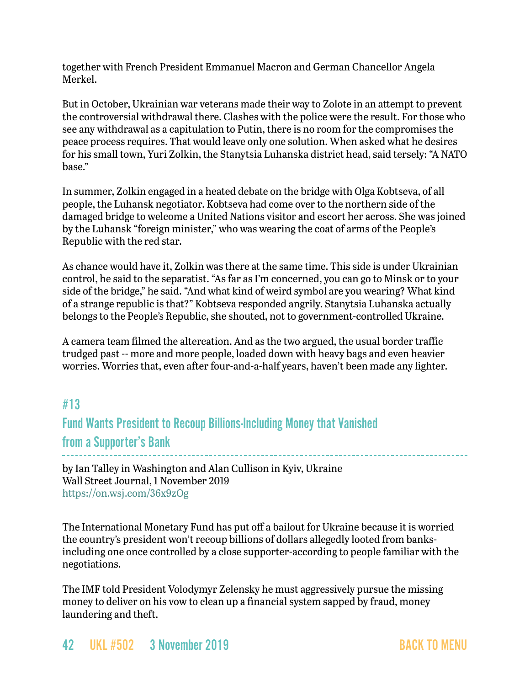together with French President Emmanuel Macron and German Chancellor Angela Merkel.

But in October, Ukrainian war veterans made their way to Zolote in an attempt to prevent the controversial withdrawal there. Clashes with the police were the result. For those who see any withdrawal as a capitulation to Putin, there is no room for the compromises the peace process requires. That would leave only one solution. When asked what he desires for his small town, Yuri Zolkin, the Stanytsia Luhanska district head, said tersely: "A NATO base."

In summer, Zolkin engaged in a heated debate on the bridge with Olga Kobtseva, of all people, the Luhansk negotiator. Kobtseva had come over to the northern side of the damaged bridge to welcome a United Nations visitor and escort her across. She was joined by the Luhansk "foreign minister," who was wearing the coat of arms of the People's Republic with the red star.

As chance would have it, Zolkin was there at the same time. This side is under Ukrainian control, he said to the separatist. "As far as I'm concerned, you can go to Minsk or to your side of the bridge," he said. "And what kind of weird symbol are you wearing? What kind of a strange republic is that?" Kobtseva responded angrily. Stanytsia Luhanska actually belongs to the People's Republic, she shouted, not to government-controlled Ukraine.

A camera team filmed the altercation. And as the two argued, the usual border traffic trudged past -- more and more people, loaded down with heavy bags and even heavier worries. Worries that, even after four-and-a-half years, haven't been made any lighter.

## <span id="page-41-0"></span>#13

Fund Wants President to Recoup Billions-Including Money that Vanished from a Supporter's Bank

by Ian Talley in Washington and Alan Cullison in Kyiv, Ukraine Wall Street Journal, 1 November 2019 <https://on.wsj.com/36x9zOg>

The International Monetary Fund has put off a bailout for Ukraine because it is worried the country's president won't recoup billions of dollars allegedly looted from banksincluding one once controlled by a close supporter-according to people familiar with the negotiations.

The IMF told President Volodymyr Zelensky he must aggressively pursue the missing money to deliver on his vow to clean up a financial system sapped by fraud, money laundering and theft.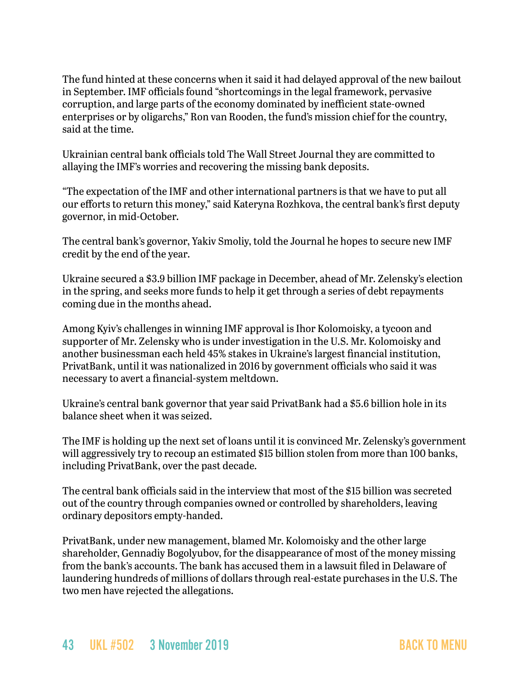The fund hinted at these concerns when it said it had delayed approval of the new bailout in September. IMF officials found "shortcomings in the legal framework, pervasive corruption, and large parts of the economy dominated by inefficient state-owned enterprises or by oligarchs," Ron van Rooden, the fund's mission chief for the country, said at the time.

Ukrainian central bank officials told The Wall Street Journal they are committed to allaying the IMF's worries and recovering the missing bank deposits.

"The expectation of the IMF and other international partners is that we have to put all our efforts to return this money," said Kateryna Rozhkova, the central bank's first deputy governor, in mid-October.

The central bank's governor, Yakiv Smoliy, told the Journal he hopes to secure new IMF credit by the end of the year.

Ukraine secured a \$3.9 billion IMF package in December, ahead of Mr. Zelensky's election in the spring, and seeks more funds to help it get through a series of debt repayments coming due in the months ahead.

Among Kyiv's challenges in winning IMF approval is Ihor Kolomoisky, a tycoon and supporter of Mr. Zelensky who is under investigation in the U.S. Mr. Kolomoisky and another businessman each held 45% stakes in Ukraine's largest financial institution, PrivatBank, until it was nationalized in 2016 by government officials who said it was necessary to avert a financial-system meltdown.

Ukraine's central bank governor that year said PrivatBank had a \$5.6 billion hole in its balance sheet when it was seized.

The IMF is holding up the next set of loans until it is convinced Mr. Zelensky's government will aggressively try to recoup an estimated \$15 billion stolen from more than 100 banks, including PrivatBank, over the past decade.

The central bank officials said in the interview that most of the \$15 billion was secreted out of the country through companies owned or controlled by shareholders, leaving ordinary depositors empty-handed.

PrivatBank, under new management, blamed Mr. Kolomoisky and the other large shareholder, Gennadiy Bogolyubov, for the disappearance of most of the money missing from the bank's accounts. The bank has accused them in a lawsuit filed in Delaware of laundering hundreds of millions of dollars through real-estate purchases in the U.S. The two men have rejected the allegations.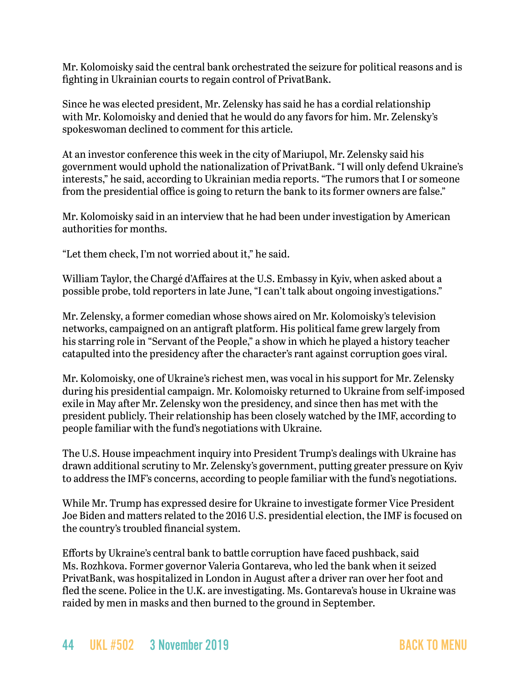Mr. Kolomoisky said the central bank orchestrated the seizure for political reasons and is fighting in Ukrainian courts to regain control of PrivatBank.

Since he was elected president, Mr. Zelensky has said he has a cordial relationship with Mr. Kolomoisky and denied that he would do any favors for him. Mr. Zelensky's spokeswoman declined to comment for this article.

At an investor conference this week in the city of Mariupol, Mr. Zelensky said his government would uphold the nationalization of PrivatBank. "I will only defend Ukraine's interests," he said, according to Ukrainian media reports. "The rumors that I or someone from the presidential office is going to return the bank to its former owners are false."

Mr. Kolomoisky said in an interview that he had been under investigation by American authorities for months.

"Let them check, I'm not worried about it," he said.

William Taylor, the Chargé d'Affaires at the U.S. Embassy in Kyiv, when asked about a possible probe, told reporters in late June, "I can't talk about ongoing investigations."

Mr. Zelensky, a former comedian whose shows aired on Mr. Kolomoisky's television networks, campaigned on an antigraft platform. His political fame grew largely from his starring role in "Servant of the People," a show in which he played a history teacher catapulted into the presidency after the character's rant against corruption goes viral.

Mr. Kolomoisky, one of Ukraine's richest men, was vocal in his support for Mr. Zelensky during his presidential campaign. Mr. Kolomoisky returned to Ukraine from self-imposed exile in May after Mr. Zelensky won the presidency, and since then has met with the president publicly. Their relationship has been closely watched by the IMF, according to people familiar with the fund's negotiations with Ukraine.

The U.S. House impeachment inquiry into President Trump's dealings with Ukraine has drawn additional scrutiny to Mr. Zelensky's government, putting greater pressure on Kyiv to address the IMF's concerns, according to people familiar with the fund's negotiations.

While Mr. Trump has expressed desire for Ukraine to investigate former Vice President Joe Biden and matters related to the 2016 U.S. presidential election, the IMF is focused on the country's troubled financial system.

Efforts by Ukraine's central bank to battle corruption have faced pushback, said Ms. Rozhkova. Former governor Valeria Gontareva, who led the bank when it seized PrivatBank, was hospitalized in London in August after a driver ran over her foot and fled the scene. Police in the U.K. are investigating. Ms. Gontareva's house in Ukraine was raided by men in masks and then burned to the ground in September.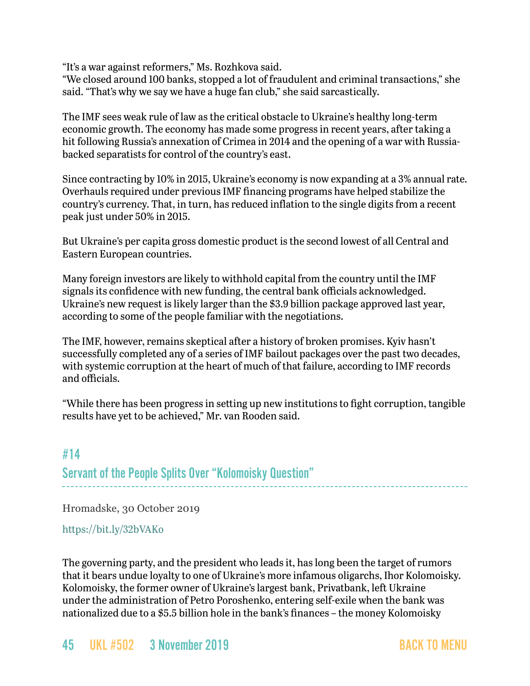"It's a war against reformers," Ms. Rozhkova said.

"We closed around 100 banks, stopped a lot of fraudulent and criminal transactions," she said. "That's why we say we have a huge fan club," she said sarcastically.

The IMF sees weak rule of law as the critical obstacle to Ukraine's healthy long-term economic growth. The economy has made some progress in recent years, after taking a hit following Russia's annexation of Crimea in 2014 and the opening of a war with Russiabacked separatists for control of the country's east.

Since contracting by 10% in 2015, Ukraine's economy is now expanding at a 3% annual rate. Overhauls required under previous IMF financing programs have helped stabilize the country's currency. That, in turn, has reduced inflation to the single digits from a recent peak just under 50% in 2015.

But Ukraine's per capita gross domestic product is the second lowest of all Central and Eastern European countries.

Many foreign investors are likely to withhold capital from the country until the IMF signals its confidence with new funding, the central bank officials acknowledged. Ukraine's new request is likely larger than the \$3.9 billion package approved last year, according to some of the people familiar with the negotiations.

The IMF, however, remains skeptical after a history of broken promises. Kyiv hasn't successfully completed any of a series of IMF bailout packages over the past two decades, with systemic corruption at the heart of much of that failure, according to IMF records and officials.

"While there has been progress in setting up new institutions to fight corruption, tangible results have yet to be achieved," Mr. van Rooden said.

# <span id="page-44-0"></span>#14 Servant of the People Splits Over "Kolomoisky Question"

Hromadske, 30 October 2019

<https://bit.ly/32bVAKo>

The governing party, and the president who leads it, has long been the target of rumors that it bears undue loyalty to one of Ukraine's more infamous oligarchs, Ihor Kolomoisky. Kolomoisky, the former owner of Ukraine's largest bank, Privatbank, left Ukraine under the administration of Petro Poroshenko, entering self-exile when the bank was nationalized due to a \$5.5 billion hole in the bank's finances – the money Kolomoisky

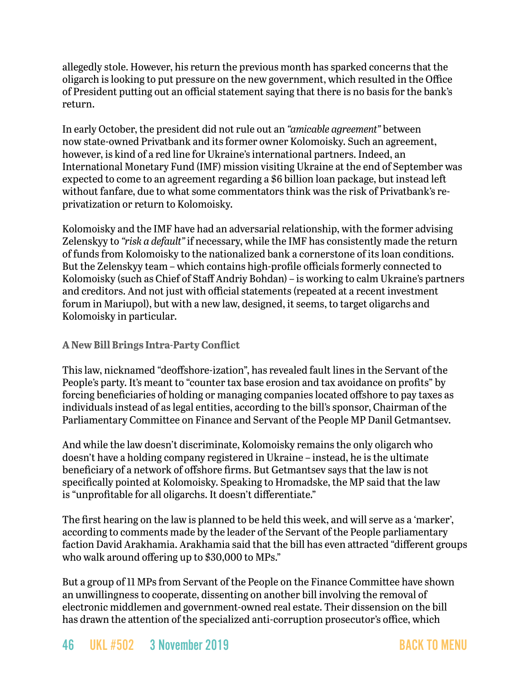allegedly stole. However, his return the previous month has sparked concerns that the oligarch is looking to put pressure on the new government, which resulted in the Office of President putting out an official statement saying that there is no basis for the bank's return.

In early October, the president did not rule out an *"amicable agreement"* between now state-owned Privatbank and its former owner Kolomoisky. Such an agreement, however, is kind of a red line for Ukraine's international partners. Indeed, an International Monetary Fund (IMF) mission visiting Ukraine at the end of September was expected to come to an agreement regarding a \$6 billion loan package, but instead left without fanfare, due to what some commentators think was the risk of Privatbank's reprivatization or return to Kolomoisky.

Kolomoisky and the IMF have had an adversarial relationship, with the former advising Zelenskyy to *"risk a default"* if necessary, while the IMF has consistently made the return of funds from Kolomoisky to the nationalized bank a cornerstone of its loan conditions. But the Zelenskyy team – which contains high-profile officials formerly connected to Kolomoisky (such as Chief of Staff Andriy Bohdan) – is working to calm Ukraine's partners and creditors. And not just with official statements (repeated at a recent investment forum in Mariupol), but with a new law, designed, it seems, to target oligarchs and Kolomoisky in particular.

## **A New Bill Brings Intra-Party Conflict**

This law, nicknamed "deoffshore-ization", has revealed fault lines in the Servant of the People's party. It's meant to "counter tax base erosion and tax avoidance on profits" by forcing beneficiaries of holding or managing companies located offshore to pay taxes as individuals instead of as legal entities, according to the bill's sponsor, Chairman of the Parliamentary Committee on Finance and Servant of the People MP Danil Getmantsev.

And while the law doesn't discriminate, Kolomoisky remains the only oligarch who doesn't have a holding company registered in Ukraine – instead, he is the ultimate beneficiary of a network of offshore firms. But Getmantsev says that the law is not specifically pointed at Kolomoisky. Speaking to Hromadske, the MP said that the law is "unprofitable for all oligarchs. It doesn't differentiate."

The first hearing on the law is planned to be held this week, and will serve as a 'marker', according to comments made by the leader of the Servant of the People parliamentary faction David Arakhamia. Arakhamia said that the bill has even attracted "different groups who walk around offering up to \$30,000 to MPs."

But a group of 11 MPs from Servant of the People on the Finance Committee have shown an unwillingness to cooperate, dissenting on another bill involving the removal of electronic middlemen and government-owned real estate. Their dissension on the bill has drawn the attention of the specialized anti-corruption prosecutor's office, which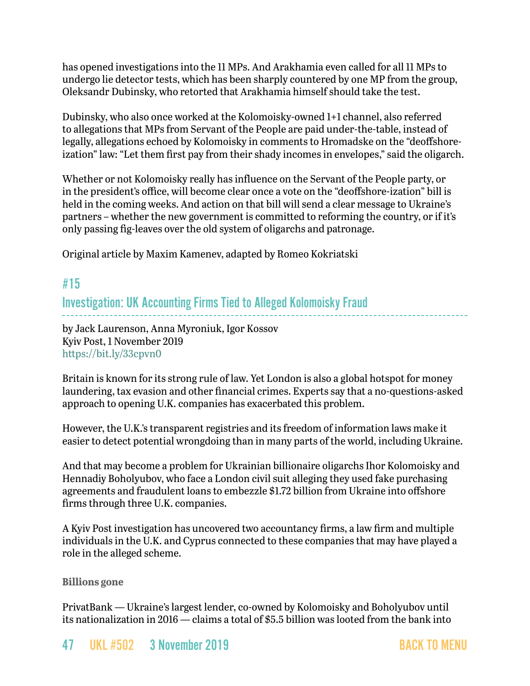has opened investigations into the 11 MPs. And Arakhamia even called for all 11 MPs to undergo lie detector tests, which has been sharply countered by one MP from the group, Oleksandr Dubinsky, who retorted that Arakhamia himself should take the test.

Dubinsky, who also once worked at the Kolomoisky-owned 1+1 channel, also referred to allegations that MPs from Servant of the People are paid under-the-table, instead of legally, allegations echoed by Kolomoisky in comments to Hromadske on the "deoffshoreization" law: "Let them first pay from their shady incomes in envelopes," said the oligarch.

Whether or not Kolomoisky really has influence on the Servant of the People party, or in the president's office, will become clear once a vote on the "deoffshore-ization" bill is held in the coming weeks. And action on that bill will send a clear message to Ukraine's partners – whether the new government is committed to reforming the country, or if it's only passing fig-leaves over the old system of oligarchs and patronage.

Original article by Maxim Kamenev, adapted by Romeo Kokriatski

## <span id="page-46-0"></span>#15

Investigation: UK Accounting Firms Tied to Alleged Kolomoisky Fraud

by Jack Laurenson, Anna Myroniuk, Igor Kossov Kyiv Post, 1 November 2019 <https://bit.ly/33cpvn0>

Britain is known for its strong rule of law. Yet London is also a global hotspot for money laundering, tax evasion and other financial crimes. Experts say that a no-questions-asked approach to opening U.K. companies has exacerbated this problem.

However, the U.K.'s transparent registries and its freedom of information laws make it easier to detect potential wrongdoing than in many parts of the world, including Ukraine.

And that may become a problem for Ukrainian billionaire oligarchs Ihor Kolomoisky and Hennadiy Boholyubov, who face a London civil suit alleging they used fake purchasing agreements and fraudulent loans to embezzle \$1.72 billion from Ukraine into offshore firms through three U.K. companies.

A Kyiv Post investigation has uncovered two accountancy firms, a law firm and multiple individuals in the U.K. and Cyprus connected to these companies that may have played a role in the alleged scheme.

## **Billions gone**

PrivatBank — Ukraine's largest lender, co-owned by Kolomoisky and Boholyubov until its nationalization in 2016 — claims a total of \$5.5 billion was looted from the bank into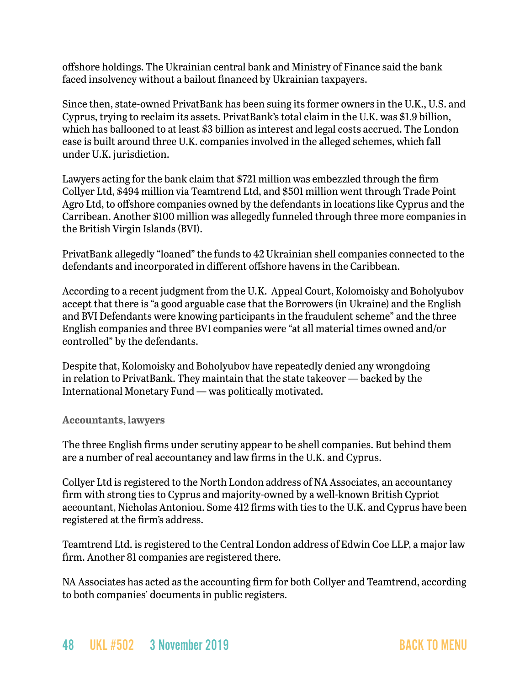offshore holdings. The Ukrainian central bank and Ministry of Finance said the bank faced insolvency without a bailout financed by Ukrainian taxpayers.

Since then, state-owned PrivatBank has been suing its former owners in the U.K., U.S. and Cyprus, trying to reclaim its assets. PrivatBank's total claim in the U.K. was \$1.9 billion, which has ballooned to at least \$3 billion as interest and legal costs accrued. The London case is built around three U.K. companies involved in the alleged schemes, which fall under U.K. jurisdiction.

Lawyers acting for the bank claim that \$721 million was embezzled through the firm Collyer Ltd, \$494 million via Teamtrend Ltd, and \$501 million went through Trade Point Agro Ltd, to offshore companies owned by the defendants in locations like Cyprus and the Carribean. Another \$100 million was allegedly funneled through three more companies in the British Virgin Islands (BVI).

PrivatBank allegedly "loaned" the funds to 42 Ukrainian shell companies connected to the defendants and incorporated in different offshore havens in the Caribbean.

According to a recent judgment from the U. K. Appeal Court, Kolomoisky and Boholyubov accept that there is "a good arguable case that the Borrowers (in Ukraine) and the English and BVI Defendants were knowing participants in the fraudulent scheme" and the three English companies and three BVI companies were "at all material times owned and/or controlled" by the defendants.

Despite that, Kolomoisky and Boholyubov have repeatedly denied any wrongdoing in relation to PrivatBank. They maintain that the state takeover — backed by the International Monetary Fund — was politically motivated.

**Accountants, lawyers**

The three English firms under scrutiny appear to be shell companies. But behind them are a number of real accountancy and law firms in the U.K. and Cyprus.

Collyer Ltd is registered to the North London address of NA Associates, an accountancy firm with strong ties to Cyprus and majority-owned by a well-known British Cypriot accountant, Nicholas Antoniou. Some 412 firms with ties to the U.K. and Cyprus have been registered at the firm's address.

Teamtrend Ltd. is registered to the Central London address of Edwin Coe LLP, a major law firm. Another 81 companies are registered there.

NA Associates has acted as the accounting firm for both Collyer and Teamtrend, according to both companies' documents in public registers.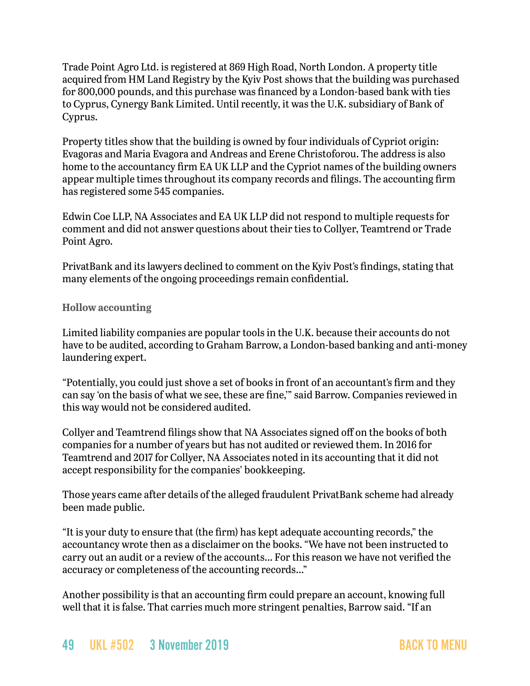Trade Point Agro Ltd. is registered at 869 High Road, North London. A property title acquired from HM Land Registry by the Kyiv Post shows that the building was purchased for 800,000 pounds, and this purchase was financed by a London-based bank with ties to Cyprus, Cynergy Bank Limited. Until recently, it was the U.K. subsidiary of Bank of Cyprus.

Property titles show that the building is owned by four individuals of Cypriot origin: Evagoras and Maria Evagora and Andreas and Erene Christoforou. The address is also home to the accountancy firm EA UK LLP and the Cypriot names of the building owners appear multiple times throughout its company records and filings. The accounting firm has registered some 545 companies.

Edwin Coe LLP, NA Associates and EA UK LLP did not respond to multiple requests for comment and did not answer questions about their ties to Collyer, Teamtrend or Trade Point Agro.

PrivatBank and its lawyers declined to comment on the Kyiv Post's findings, stating that many elements of the ongoing proceedings remain confidential.

## **Hollow accounting**

Limited liability companies are popular tools in the U.K. because their accounts do not have to be audited, according to Graham Barrow, a London-based banking and anti-money laundering expert.

"Potentially, you could just shove a set of books in front of an accountant's firm and they can say 'on the basis of what we see, these are fine,'" said Barrow. Companies reviewed in this way would not be considered audited.

Collyer and Teamtrend filings show that NA Associates signed off on the books of both companies for a number of years but has not audited or reviewed them. In 2016 for Teamtrend and 2017 for Collyer, NA Associates noted in its accounting that it did not accept responsibility for the companies' bookkeeping.

Those years came after details of the alleged fraudulent PrivatBank scheme had already been made public.

"It is your duty to ensure that (the firm) has kept adequate accounting records," the accountancy wrote then as a disclaimer on the books. "We have not been instructed to carry out an audit or a review of the accounts… For this reason we have not verified the accuracy or completeness of the accounting records…"

Another possibility is that an accounting firm could prepare an account, knowing full well that it is false. That carries much more stringent penalties, Barrow said. "If an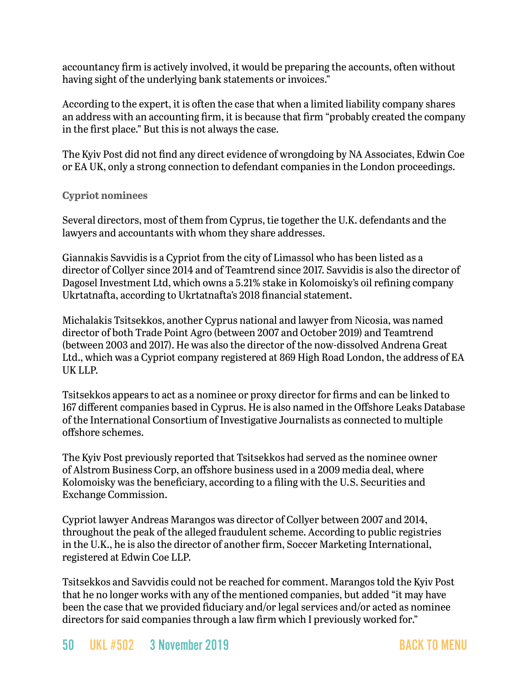accountancy firm is actively involved, it would be preparing the accounts, often without having sight of the underlying bank statements or invoices."

According to the expert, it is often the case that when a limited liability company shares an address with an accounting firm, it is because that firm "probably created the company in the first place." But this is not always the case.

The Kyiv Post did not find any direct evidence of wrongdoing by NA Associates, Edwin Coe or EA UK, only a strong connection to defendant companies in the London proceedings.

### **Cypriot nominees**

Several directors, most of them from Cyprus, tie together the U.K. defendants and the lawyers and accountants with whom they share addresses.

Giannakis Savvidis is a Cypriot from the city of Limassol who has been listed as a director of Collyer since 2014 and of Teamtrend since 2017. Savvidis is also the director of Dagosel Investment Ltd, which owns a 5.21% stake in Kolomoisky's oil refining company Ukrtatnafta, according to Ukrtatnafta's 2018 financial statement.

Michalakis Tsitsekkos, another Cyprus national and lawyer from Nicosia, was named director of both Trade Point Agro (between 2007 and October 2019) and Teamtrend (between 2003 and 2017). He was also the director of the now-dissolved Andrena Great Ltd., which was a Cypriot company registered at 869 High Road London, the address of EA UK LLP.

Tsitsekkos appears to act as a nominee or proxy director for firms and can be linked to 167 different companies based in Cyprus. He is also named in the Offshore Leaks Database of the International Consortium of Investigative Journalists as connected to multiple offshore schemes.

The Kyiv Post previously reported that Tsitsekkos had served as the nominee owner of Alstrom Business Corp, an offshore business used in a 2009 media deal, where Kolomoisky was the beneficiary, according to a filing with the U. S. Securities and Exchange Commission.

Cypriot lawyer Andreas Marangos was director of Collyer between 2007 and 2014, throughout the peak of the alleged fraudulent scheme. According to public registries in the U.K., he is also the director of another firm, Soccer Marketing International, registered at Edwin Coe LLP.

Tsitsekkos and Savvidis could not be reached for comment. Marangos told the Kyiv Post that he no longer works with any of the mentioned companies, but added "it may have been the case that we provided fiduciary and/or legal services and/or acted as nominee directors for said companies through a law firm which I previously worked for."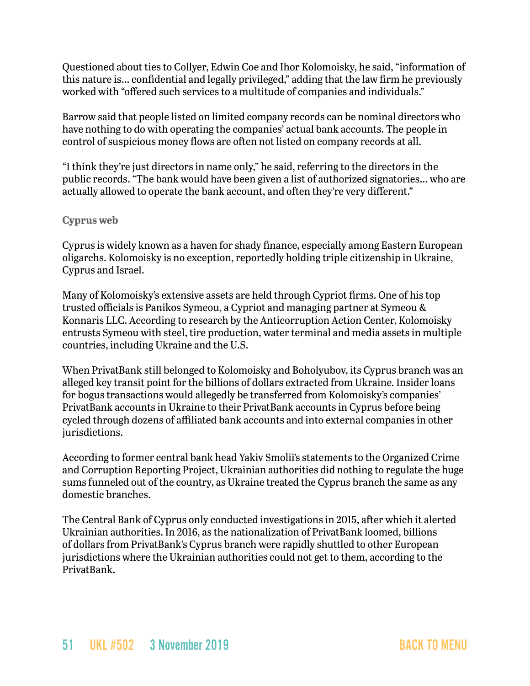Questioned about ties to Collyer, Edwin Coe and Ihor Kolomoisky, he said, "information of this nature is… confidential and legally privileged," adding that the law firm he previously worked with "offered such services to a multitude of companies and individuals."

Barrow said that people listed on limited company records can be nominal directors who have nothing to do with operating the companies' actual bank accounts. The people in control of suspicious money flows are often not listed on company records at all.

"I think they're just directors in name only," he said, referring to the directors in the public records. "The bank would have been given a list of authorized signatories… who are actually allowed to operate the bank account, and often they're very different."

#### **Cyprus web**

Cyprus is widely known as a haven for shady finance, especially among Eastern European oligarchs. Kolomoisky is no exception, reportedly holding triple citizenship in Ukraine, Cyprus and Israel.

Many of Kolomoisky's extensive assets are held through Cypriot firms. One of his top trusted officials is Panikos Symeou, a Cypriot and managing partner at Symeou & Konnaris LLC. According to research by the Anticorruption Action Center, Kolomoisky entrusts Symeou with steel, tire production, water terminal and media assets in multiple countries, including Ukraine and the U.S.

When PrivatBank still belonged to Kolomoisky and Boholyubov, its Cyprus branch was an alleged key transit point for the billions of dollars extracted from Ukraine. Insider loans for bogus transactions would allegedly be transferred from Kolomoisky's companies' PrivatBank accounts in Ukraine to their PrivatBank accounts in Cyprus before being cycled through dozens of affiliated bank accounts and into external companies in other jurisdictions.

According to former central bank head Yakiv Smolii's statements to the Organized Crime and Corruption Reporting Project, Ukrainian authorities did nothing to regulate the huge sums funneled out of the country, as Ukraine treated the Cyprus branch the same as any domestic branches.

The Central Bank of Cyprus only conducted investigations in 2015, after which it alerted Ukrainian authorities. In 2016, as the nationalization of PrivatBank loomed, billions of dollars from PrivatBank's Cyprus branch were rapidly shuttled to other European jurisdictions where the Ukrainian authorities could not get to them, according to the PrivatBank.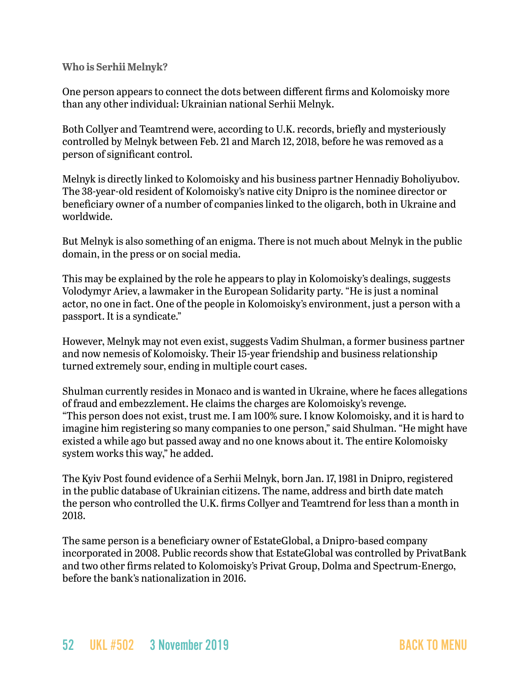**Who is Serhii Melnyk?**

One person appears to connect the dots between different firms and Kolomoisky more than any other individual: Ukrainian national Serhii Melnyk.

Both Collyer and Teamtrend were, according to U.K. records, briefly and mysteriously controlled by Melnyk between Feb. 21 and March 12, 2018, before he was removed as a person of significant control.

Melnyk is directly linked to Kolomoisky and his business partner Hennadiy Boholiyubov. The 38-year-old resident of Kolomoisky's native city Dnipro is the nominee director or beneficiary owner of a number of companies linked to the oligarch, both in Ukraine and worldwide.

But Melnyk is also something of an enigma. There is not much about Melnyk in the public domain, in the press or on social media.

This may be explained by the role he appears to play in Kolomoisky's dealings, suggests Volodymyr Ariev, a lawmaker in the European Solidarity party. "He is just a nominal actor, no one in fact. One of the people in Kolomoisky's environment, just a person with a passport. It is a syndicate."

However, Melnyk may not even exist, suggests Vadim Shulman, a former business partner and now nemesis of Kolomoisky. Their 15-year friendship and business relationship turned extremely sour, ending in multiple court cases.

Shulman currently resides in Monaco and is wanted in Ukraine, where he faces allegations of fraud and embezzlement. He claims the charges are Kolomoisky's revenge. "This person does not exist, trust me. I am 100% sure. I know Kolomoisky, and it is hard to imagine him registering so many companies to one person," said Shulman. "He might have existed a while ago but passed away and no one knows about it. The entire Kolomoisky system works this way," he added.

The Kyiv Post found evidence of a Serhii Melnyk, born Jan. 17, 1981 in Dnipro, registered in the public database of Ukrainian citizens. The name, address and birth date match the person who controlled the U.K. firms Collyer and Teamtrend for less than a month in 2018.

The same person is a beneficiary owner of EstateGlobal, a Dnipro-based company incorporated in 2008. Public records show that EstateGlobal was controlled by PrivatBank and two other firms related to Kolomoisky's Privat Group, Dolma and Spectrum-Energo, before the bank's nationalization in 2016.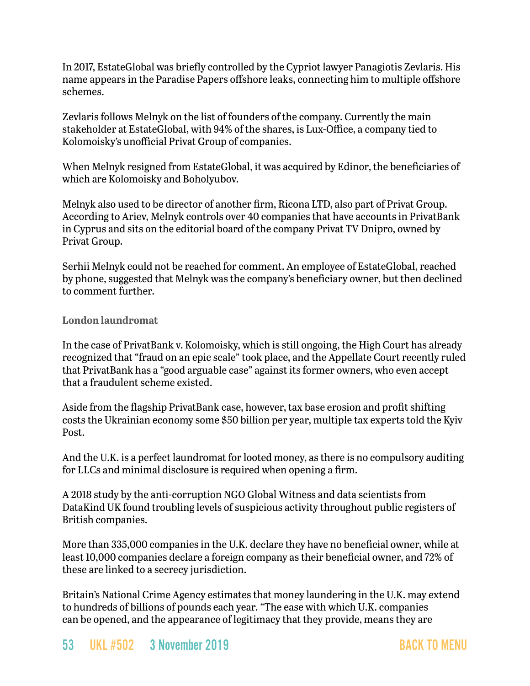In 2017, EstateGlobal was briefly controlled by the Cypriot lawyer Panagiotis Zevlaris. His name appears in the Paradise Papers offshore leaks, connecting him to multiple offshore schemes.

Zevlaris follows Melnyk on the list of founders of the company. Currently the main stakeholder at EstateGlobal, with 94% of the shares, is Lux-Office, a company tied to Kolomoisky's unofficial Privat Group of companies.

When Melnyk resigned from EstateGlobal, it was acquired by Edinor, the beneficiaries of which are Kolomoisky and Boholyubov.

Melnyk also used to be director of another firm, Ricona LTD, also part of Privat Group. According to Ariev, Melnyk controls over 40 companies that have accounts in PrivatBank in Cyprus and sits on the editorial board of the company Privat TV Dnipro, owned by Privat Group.

Serhii Melnyk could not be reached for comment. An employee of EstateGlobal, reached by phone, suggested that Melnyk was the company's beneficiary owner, but then declined to comment further.

## **London laundromat**

In the case of PrivatBank v. Kolomoisky, which is still ongoing, the High Court has already recognized that "fraud on an epic scale" took place, and the Appellate Court recently ruled that PrivatBank has a "good arguable case" against its former owners, who even accept that a fraudulent scheme existed.

Aside from the flagship PrivatBank case, however, tax base erosion and profit shifting costs the Ukrainian economy some \$50 billion per year, multiple tax experts told the Kyiv Post.

And the U.K. is a perfect laundromat for looted money, as there is no compulsory auditing for LLCs and minimal disclosure is required when opening a firm.

A 2018 study by the anti-corruption NGO Global Witness and data scientists from DataKind UK found troubling levels of suspicious activity throughout public registers of British companies.

More than 335,000 companies in the U.K. declare they have no beneficial owner, while at least 10,000 companies declare a foreign company as their beneficial owner, and 72% of these are linked to a secrecy jurisdiction.

Britain's National Crime Agency estimates that money laundering in the U.K. may extend to hundreds of billions of pounds each year. "The ease with which U.K. companies can be opened, and the appearance of legitimacy that they provide, means they are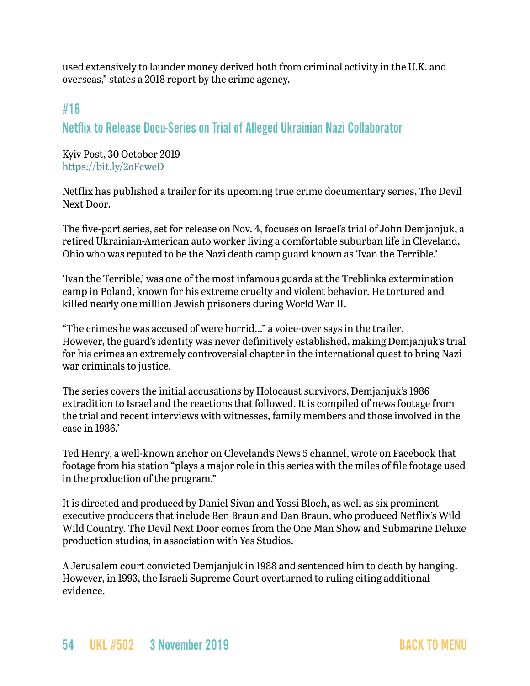used extensively to launder money derived both from criminal activity in the U.K. and overseas," states a 2018 report by the crime agency.

# <span id="page-53-0"></span>#16

Netflix to Release Docu-Series on Trial of Alleged Ukrainian Nazi Collaborator

Kyiv Post, 30 October 2019 <https://bit.ly/2oFcweD>

Netflix has published a trailer for its upcoming true crime documentary series, The Devil Next Door.

The five-part series, set for release on Nov. 4, focuses on Israel's trial of John Demjanjuk, a retired Ukrainian-American auto worker living a comfortable suburban life in Cleveland, Ohio who was reputed to be the Nazi death camp guard known as 'Ivan the Terrible.'

'Ivan the Terrible,' was one of the most infamous guards at the Treblinka extermination camp in Poland, known for his extreme cruelty and violent behavior. He tortured and killed nearly one million Jewish prisoners during World War II.

"The crimes he was accused of were horrid…" a voice-over says in the trailer. However, the guard's identity was never definitively established, making Demjanjuk's trial for his crimes an extremely controversial chapter in the international quest to bring Nazi war criminals to justice.

The series covers the initial accusations by Holocaust survivors, Demjanjuk's 1986 extradition to Israel and the reactions that followed. It is compiled of news footage from the trial and recent interviews with witnesses, family members and those involved in the case in 1986.'

Ted Henry, a well-known anchor on Cleveland's News 5 channel, wrote on Facebook that footage from his station "plays a major role in this series with the miles of file footage used in the production of the program."

It is directed and produced by Daniel Sivan and Yossi Bloch, as well as six prominent executive producers that include Ben Braun and Dan Braun, who produced Netflix's Wild Wild Country. The Devil Next Door comes from the One Man Show and Submarine Deluxe production studios, in association with Yes Studios.

A Jerusalem court convicted Demjanjuk in 1988 and sentenced him to death by hanging. However, in 1993, the Israeli Supreme Court overturned to ruling citing additional evidence.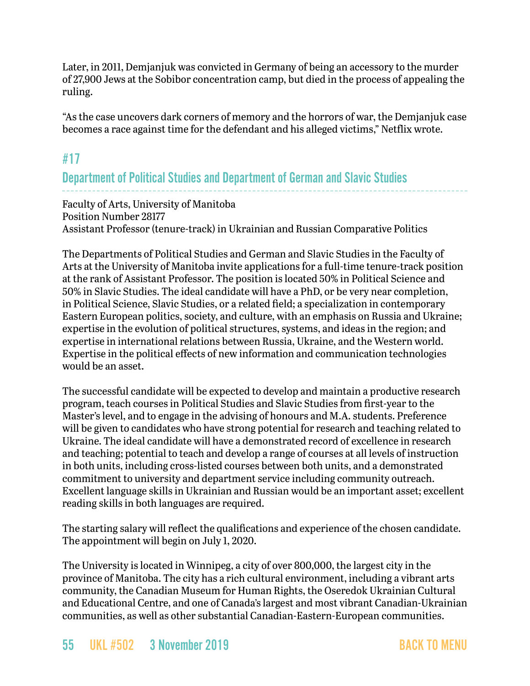Later, in 2011, Demjanjuk was convicted in Germany of being an accessory to the murder of 27,900 Jews at the Sobibor concentration camp, but died in the process of appealing the ruling.

"As the case uncovers dark corners of memory and the horrors of war, the Demjanjuk case becomes a race against time for the defendant and his alleged victims," Netflix wrote.

# <span id="page-54-0"></span>#17

## Department of Political Studies and Department of German and Slavic Studies

Faculty of Arts, University of Manitoba Position Number 28177 Assistant Professor (tenure-track) in Ukrainian and Russian Comparative Politics

The Departments of Political Studies and German and Slavic Studies in the Faculty of Arts at the University of Manitoba invite applications for a full-time tenure-track position at the rank of Assistant Professor. The position is located 50% in Political Science and 50% in Slavic Studies. The ideal candidate will have a PhD, or be very near completion, in Political Science, Slavic Studies, or a related field; a specialization in contemporary Eastern European politics, society, and culture, with an emphasis on Russia and Ukraine; expertise in the evolution of political structures, systems, and ideas in the region; and expertise in international relations between Russia, Ukraine, and the Western world. Expertise in the political effects of new information and communication technologies would be an asset.

The successful candidate will be expected to develop and maintain a productive research program, teach courses in Political Studies and Slavic Studies from first-year to the Master's level, and to engage in the advising of honours and M.A. students. Preference will be given to candidates who have strong potential for research and teaching related to Ukraine. The ideal candidate will have a demonstrated record of excellence in research and teaching; potential to teach and develop a range of courses at all levels of instruction in both units, including cross-listed courses between both units, and a demonstrated commitment to university and department service including community outreach. Excellent language skills in Ukrainian and Russian would be an important asset; excellent reading skills in both languages are required.

The starting salary will reflect the qualifications and experience of the chosen candidate. The appointment will begin on July 1, 2020.

The University is located in Winnipeg, a city of over 800,000, the largest city in the province of Manitoba. The city has a rich cultural environment, including a vibrant arts community, the Canadian Museum for Human Rights, the Oseredok Ukrainian Cultural and Educational Centre, and one of Canada's largest and most vibrant Canadian-Ukrainian communities, as well as other substantial Canadian-Eastern-European communities.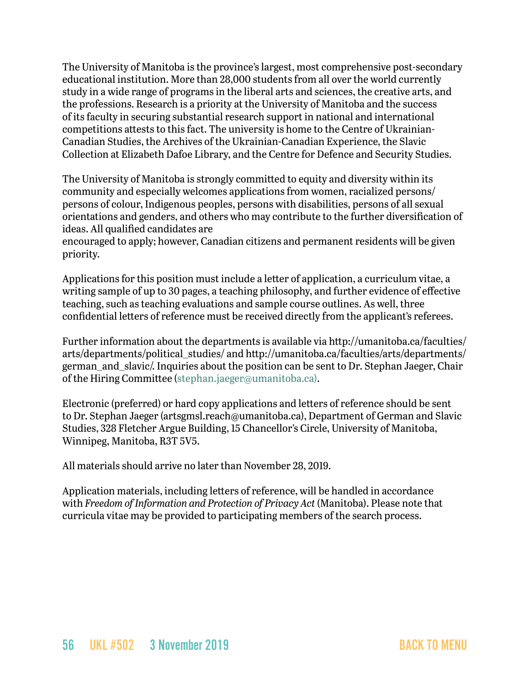The University of Manitoba is the province's largest, most comprehensive post-secondary educational institution. More than 28,000 students from all over the world currently study in a wide range of programs in the liberal arts and sciences, the creative arts, and the professions. Research is a priority at the University of Manitoba and the success of its faculty in securing substantial research support in national and international competitions attests to this fact. The university is home to the Centre of Ukrainian-Canadian Studies, the Archives of the Ukrainian-Canadian Experience, the Slavic Collection at Elizabeth Dafoe Library, and the Centre for Defence and Security Studies.

The University of Manitoba is strongly committed to equity and diversity within its community and especially welcomes applications from women, racialized persons/ persons of colour, Indigenous peoples, persons with disabilities, persons of all sexual orientations and genders, and others who may contribute to the further diversification of ideas. All qualified candidates are

encouraged to apply; however, Canadian citizens and permanent residents will be given priority.

Applications for this position must include a letter of application, a curriculum vitae, a writing sample of up to 30 pages, a teaching philosophy, and further evidence of effective teaching, such as teaching evaluations and sample course outlines. As well, three confidential letters of reference must be received directly from the applicant's referees.

Further information about the departments is available via [http://umanitoba.ca/faculties/](http://umanitoba.ca/faculties/arts/departments/political_studies/) [arts/departments/political\\_studies/](http://umanitoba.ca/faculties/arts/departments/political_studies/) and [http://umanitoba.ca/faculties/arts/departments/](http://umanitoba.ca/faculties/arts/departments/german_and_slavic/) [german\\_and\\_slavic/.](http://umanitoba.ca/faculties/arts/departments/german_and_slavic/) Inquiries about the position can be sent to Dr. Stephan Jaeger, Chair of the Hiring Committee ([stephan.jaeger@umanitoba.ca\)](mailto:stephan.jaeger@umanitoba.ca)).

Electronic (preferred) or hard copy applications and letters of reference should be sent to Dr. Stephan Jaeger ([artsgmsl.reach@umanitoba.ca\)](mailto:artsgmsl.reach@umanitoba.ca), Department of German and Slavic Studies, 328 Fletcher Argue Building, 15 Chancellor's Circle, University of Manitoba, Winnipeg, Manitoba, R3T 5V5.

All materials should arrive no later than November 28, 2019.

Application materials, including letters of reference, will be handled in accordance with *Freedom of Information and Protection of Privacy Act* (Manitoba). Please note that curricula vitae may be provided to participating members of the search process.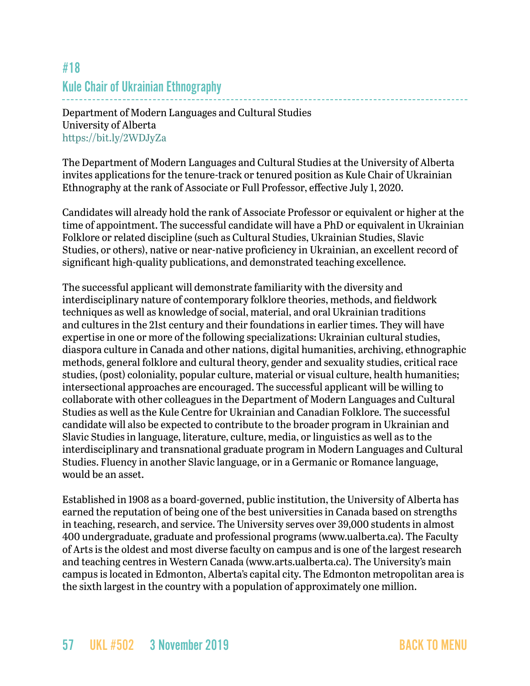# <span id="page-56-0"></span>#18 Kule Chair of Ukrainian Ethnography

Department of Modern Languages and Cultural Studies University of Alberta <https://bit.ly/2WDJyZa>

The Department of Modern Languages and Cultural Studies at the University of Alberta invites applications for the tenure-track or tenured position as Kule Chair of Ukrainian Ethnography at the rank of Associate or Full Professor, effective July 1, 2020.

Candidates will already hold the rank of Associate Professor or equivalent or higher at the time of appointment. The successful candidate will have a PhD or equivalent in Ukrainian Folklore or related discipline (such as Cultural Studies, Ukrainian Studies, Slavic Studies, or others), native or near-native proficiency in Ukrainian, an excellent record of significant high-quality publications, and demonstrated teaching excellence.

The successful applicant will demonstrate familiarity with the diversity and interdisciplinary nature of contemporary folklore theories, methods, and fieldwork techniques as well as knowledge of social, material, and oral Ukrainian traditions and cultures in the 21st century and their foundations in earlier times. They will have expertise in one or more of the following specializations: Ukrainian cultural studies, diaspora culture in Canada and other nations, digital humanities, archiving, ethnographic methods, general folklore and cultural theory, gender and sexuality studies, critical race studies, (post) coloniality, popular culture, material or visual culture, health humanities; intersectional approaches are encouraged. The successful applicant will be willing to collaborate with other colleagues in the Department of Modern Languages and Cultural Studies as well as the Kule Centre for Ukrainian and Canadian Folklore. The successful candidate will also be expected to contribute to the broader program in Ukrainian and Slavic Studies in language, literature, culture, media, or linguistics as well as to the interdisciplinary and transnational graduate program in Modern Languages and Cultural Studies. Fluency in another Slavic language, or in a Germanic or Romance language, would be an asset.

Established in 1908 as a board-governed, public institution, the University of Alberta has earned the reputation of being one of the best universities in Canada based on strengths in teaching, research, and service. The University serves over 39,000 students in almost 400 undergraduate, graduate and professional programs ([www.ualberta.ca\)](http://www.ualberta.ca/). The Faculty of Arts is the oldest and most diverse faculty on campus and is one of the largest research and teaching centres in Western Canada ([www.arts.ualberta.ca\)](http://www.arts.ualberta.ca/). The University's main campus is located in Edmonton, Alberta's capital city. The Edmonton metropolitan area is the sixth largest in the country with a population of approximately one million.